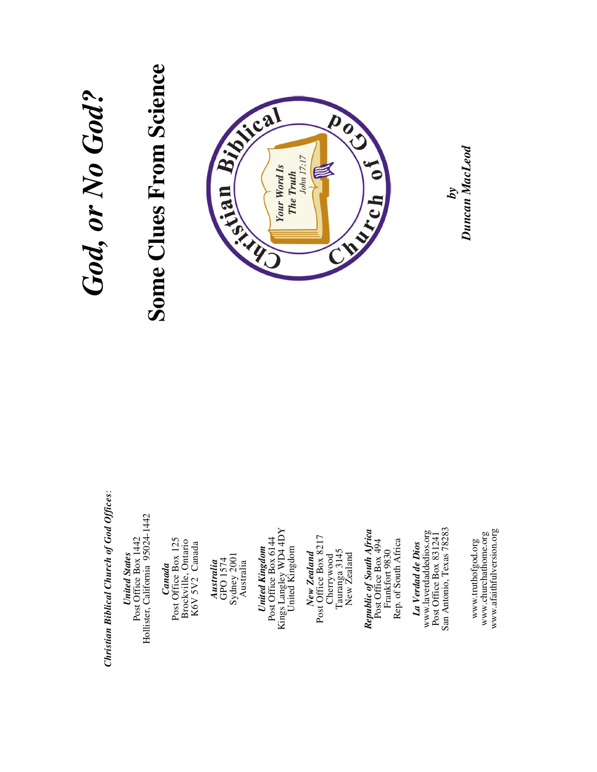## Christian Biblical Church of God Offices: *Christian Biblical Church of God Offices*:

United States<br>
Post Office Box 1442<br>
Hollister, California 95024-1442 Hollister, California 95024-1442 Post Office Box 1442 *United States* 

**Canada**<br>Post Office Box 125<br>Brockville, Ontario<br>K6V 5V2 Canada Post Office Box 125 Brockville, Ontario K6V 5V2 Canada

Australia<br>GPO 1574<br>Sydney 2001<br>Australia Sydney 2001 GPO 1574 *Australia*  Australia

Kings Langley WD4 4DY<br>United Kingdom Kings Langley WD4 4DY Post Office Box 6144 Post Office Box 6144 *United Kingdom*  United Kingdom United Kingdom

New Zealand<br>Post Office Box 8217 Post Office Box 8217 Cherrywood<br>Tauranga 3145<br>New Zealand Tauranga 3145 *New Zealand*  New Zealand Cherrywood

Republic of South Africa<br>Post Office Box 494 *Republic of South Africa*  Post Office Box 494 Rep. of South Africa Frankfort 9830 Frankfort 9830

Rep. of South Africa

www.laverdaddedios.org<br>Post Office Box 831241<br>San Antonio, Texas 78283 San Antonio, Texas 78283 Post Office Box 831241 www.laverdaddedios.org *La Verdad de Dios*  La Verdad de Dios

www.churchathome.org<br>www.afaithfulversion.org www.afaithfulversion.org www.churchathome.org www.truthofgod.org www.truthofgod.org

## *God, or No God?*  God, or No God?

# **Some Clues From Science Some Clues From Science**



*Duncan MacLeod* Duncan MacLeod *by*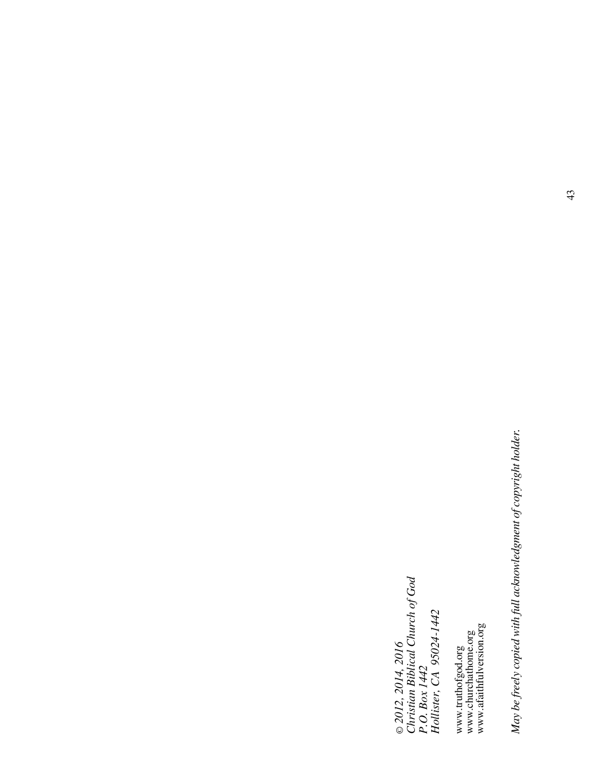© 2012, 2014, 2016<br>Christian Biblical Church of God<br>P.O. Box 1442<br>Hollister, CA 95024-1442 *Christian Biblical Church of God Hollister, CA 95024-1442 © 2012, 2014, 2016 P.O. Box 1442* 

www.truthofgod.org<br>www.churchathome.org<br>www.afaithfulversion.org www.afaithfulversion.org www.churchathome.org www.truthofgod.org

May be freely copied with full acknowledgment of copyright holder. *May be freely copied with full acknowledgment of copyright holder.*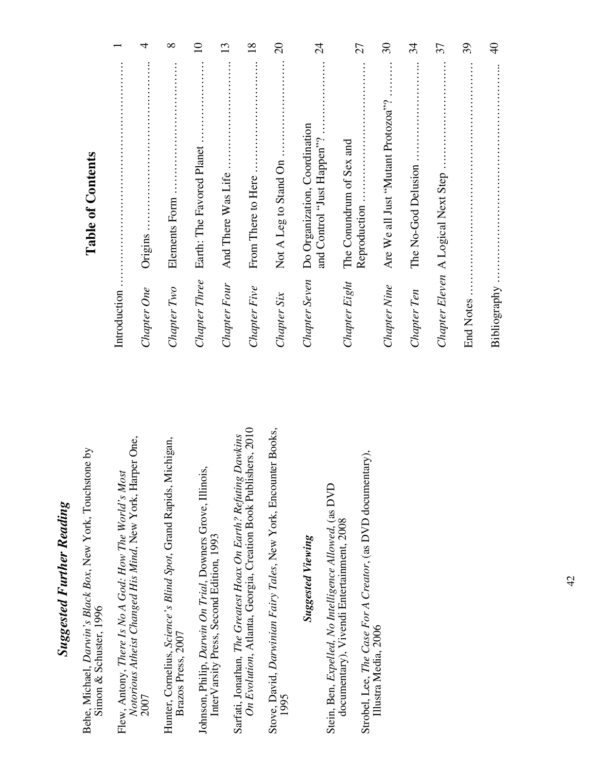### *Suggested Further Reading*  **Suggested Further Reading**

Behe, Michael, *Darwin's Black Box*, New York, Touchstone by Behe, Michael, Darwin's Black Box, New York, Touchstone by Simon & Schuster, 1996 Simon & Schuster, 1996

Notorious Atheist Changed His Mind, New York, Harper One, *Notorious Atheist Changed His Mind*, New York, Harper One, Flew, Antony, There Is No A God: How The World's Most Flew, Antony, *There Is No A God: How The World's Most*  2007

Hunter, Cornelius, *Science's Blind Spot*, Grand Rapids, Michigan, Hunter, Cornelius, Science's Blind Spot, Grand Rapids, Michigan, Brazos Press, 2007 Brazos Press, 2007

Johnson, Philip, *Darwin On Trial*, Downers Grove, Illinois, Johnson, Philip, Darwin On Trial, Downers Grove, Illinois, Inter Varsity Press, Second Edition, 1993 InterVarsity Press, Second Edition, 1993

On Evolution, Atlanta, Georgia, Creation Book Publishers, 2010 *On Evolution*, Atlanta, Georgia, Creation Book Publishers, 2010 Sarfati, Jonathan*, The Greatest Hoax On Earth? Refuting Dawkins*  Sarfati, Jonathan, The Greatest Hoax On Earth? Refuting Dawkins

Stove, David, *Darwinian Fairy Tales*, New York, Encounter Books, Stove, David, Darwinian Fairy Tales, New York, Encounter Books, 1995

### *Suggested Viewing*  **Suggested Viewing**

Stein, Ben, *Expelled, No Intelligence Allowed*, (as DVD Stein, Ben, Expelled, No Intelligence Allowed, (as DVD documentary), Vivendi Entertainment, 2008 documentary), Vivendi Entertainment, 2008

Strobel, Lee, *The Case For A Creator*, (as DVD documentary), Strobel, Lee, The Case For A Creator, (as DVD documentary), Illustra Media, 2006 Illustra Media, 2006

### **Table of Contents Table of Contents**

| Introduction     |                                                             |                |
|------------------|-------------------------------------------------------------|----------------|
| Chapter One      | Origins                                                     | 4              |
| Chapter Two      | Elements Form                                               | $\infty$       |
| Chapter Three    | Earth: The Favored Planet                                   | $\Omega$       |
| Chapter Four     | And There Was Life                                          | 13             |
| Chapter Five     | From There to Here                                          | $\frac{8}{18}$ |
| Chapter Six      | Not A Leg to Stand On                                       | $\Omega$       |
| Chapter Seven    | Do Organization, Coordination<br>and Control "Just Happen"? | $\overline{c}$ |
| Chapter Eight    | The Conundrum of Sex and<br>Reproduction.                   | 27             |
| Chapter Nine     | Are We all Just "Mutant Protozoa"?                          | $\Im$          |
| Chapter Ten      | The No-God Delusion                                         | 34             |
|                  | Chapter Eleven A Logical Next Step                          | 37             |
| <b>End Notes</b> |                                                             | 39             |
| Bibliography     |                                                             | $\overline{4}$ |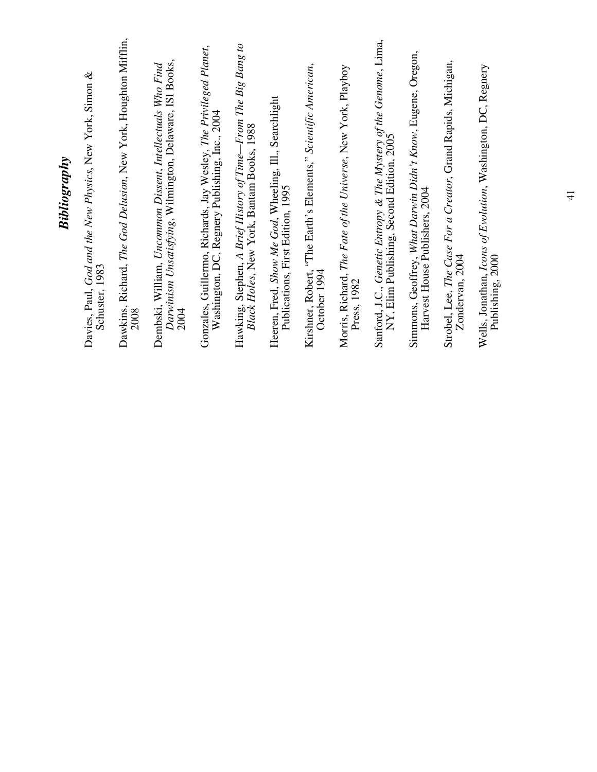| Bibliography                                                                                                                   |
|--------------------------------------------------------------------------------------------------------------------------------|
| Davies, Paul, God and the New Physics, New York, Simon &<br>Schuster, 1983                                                     |
| Dawkins, Richard, The God Delusion, New York, Houghton Mifflin,<br>2008                                                        |
| Darwinism Unsatisfying, Wilmington, Delaware, ISI Books,<br>Dembski, William, Uncommon Dissent, Intellectuals Who Find<br>2004 |
| Gonzales, Guillermo, Richards, Jay Wesley, The Privileged Planet,<br>Washington, DC, Regnery Publishing, Inc., 2004            |
| Hawking, Stephen, A Brief History of Time-From The Big Bang to<br>Black Holes, New York, Bantam Books, 1988                    |
| Heeren, Fred, Show Me God, Wheeling, Ill., Searchlight<br>Publications, First Edition, 1995                                    |
| Kirshner, Robert, "The Earth's Elements," Scientific American,<br>October 1994                                                 |
| Morris, Richard, The Fate of the Universe, New York, Playboy<br>Press, 1982                                                    |
| Sanford, J.C., Genetic Entropy & The Mystery of the Genome, Lima,<br>NY, Elim Publishing, Second Edition, 2005                 |
| Simmons, Geoffrey, What Darwin Didn't Know, Eugene, Oregon,<br>Harvest House Publishers, 2004                                  |
| Strobel, Lee, The Case For a Creator, Grand Rapids, Michigan,<br>Zondervan, 2004                                               |
| Wells, Jonathan, Icons of Evolution, Washington, DC, Regnery<br>Publishing, 2000                                               |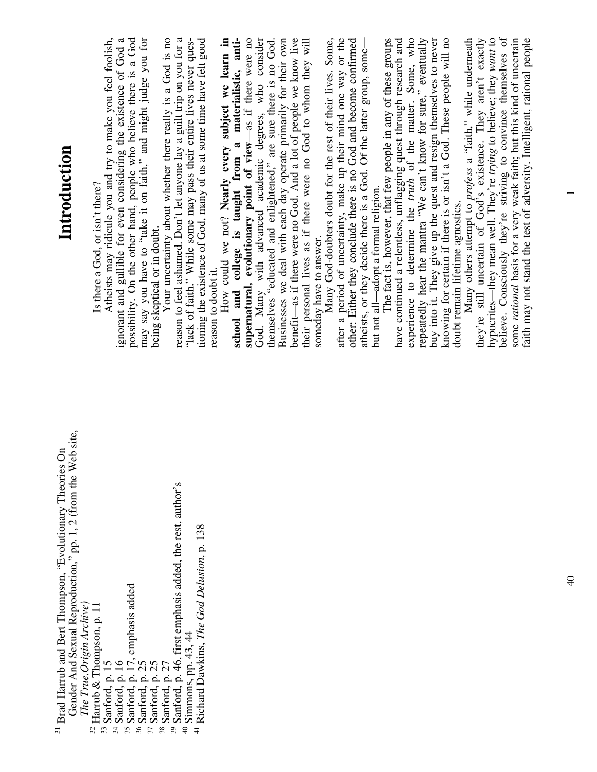| Introduction                                                                                                                                                        | possibility. On the other hand, people who believe there is a God may say you have to "take it on faith," and might judge you for<br>Your uncertainty about whether there really is a God is no<br>ignorant and gullible for even considering the existence of God a<br>Atheists may ridicule you and try to make you feel foolish,<br>Is there a God, or isn't there?<br>being skeptical or in doubt. | believe. Consciously they're striving to convince themselves of<br>God. Many with advanced academic degrees, who consider themselves "educated and enlightened," are sure there is no God.<br>buy into it. They give up the quest and resign themselves to never<br>knowing for certain if there is or isn't a God. These people will no<br>How could we not? Nearly every subject we learn in<br>supernatural, evolutionary point of view-as if there were no<br>have continued a relentless, unflagging quest through research and experience to determine the <i>truth</i> of the matter. Some, who<br>hypocrites—they mean well. They're trying to believe; they want to<br>reason to feel ashamed. Don't let anyone lay a guilt trip on you for a<br>tioning the existence of God, many of us at some time have felt good<br>college is taught from a materialistic, anti-<br>benefit—as if there were no God. And a lot of people we know live<br>their personal lives as if there were no God to whom they will<br>Many God-doubters doubt for the rest of their lives. Some,<br>after a period of uncertainty, make up their mind one way or the<br>other: Either they conclude there is no God and become confirmed<br>atheists, or they decide there is a God. Of the latter group, some—<br>repeatedly hear the mantra "We can't know for sure," eventually<br>Businesses we deal with each day operate primarily for their own<br>The fact is, however, that few people in any of these groups<br>Many others attempt to profess a "faith," while undermeath<br>they're still uncertain of God's existence. They aren't exactly<br>some rational basis for a very weak faith; but this kind of uncertain<br>"lack of faith." While some may pass their entire lives never ques-<br>but not all—adopt a formal religion.<br>doubt remain lifetime agnostics.<br>someday have to answer.<br>reason to doubt it.<br>school and | faith may not stand the test of adversity. Intelligent, rational people |
|---------------------------------------------------------------------------------------------------------------------------------------------------------------------|--------------------------------------------------------------------------------------------------------------------------------------------------------------------------------------------------------------------------------------------------------------------------------------------------------------------------------------------------------------------------------------------------------|-----------------------------------------------------------------------------------------------------------------------------------------------------------------------------------------------------------------------------------------------------------------------------------------------------------------------------------------------------------------------------------------------------------------------------------------------------------------------------------------------------------------------------------------------------------------------------------------------------------------------------------------------------------------------------------------------------------------------------------------------------------------------------------------------------------------------------------------------------------------------------------------------------------------------------------------------------------------------------------------------------------------------------------------------------------------------------------------------------------------------------------------------------------------------------------------------------------------------------------------------------------------------------------------------------------------------------------------------------------------------------------------------------------------------------------------------------------------------------------------------------------------------------------------------------------------------------------------------------------------------------------------------------------------------------------------------------------------------------------------------------------------------------------------------------------------------------------------------------------------------------------------------------------------------------------------|-------------------------------------------------------------------------|
| Gender And Sexual Reproduction," pp. 1, 2 (from the Web site,<br><sup>31</sup> Brad Harrub and Bert Thompson, "Evolutionary Theories On<br>The True.Origin Archive) | Sanford, p. 17, emphasis added<br><sup>32</sup> Harrub & Thompson, p. 11<br>Sanford, p. 16<br>$^{33}$ Sanford, p. $15$<br>Sanford, p. 25<br>Sanford, p. 27<br>Sanford, p.<br>35<br>36<br>38<br>34<br>37                                                                                                                                                                                                | Sanford, p. 46, first emphasis added, the rest, author's<br>Richard Dawkins, The God Delusion, p. 138<br>Simmons, pp. 43, 44<br>$\ominus$<br>$\frac{1}{4}$                                                                                                                                                                                                                                                                                                                                                                                                                                                                                                                                                                                                                                                                                                                                                                                                                                                                                                                                                                                                                                                                                                                                                                                                                                                                                                                                                                                                                                                                                                                                                                                                                                                                                                                                                                              |                                                                         |

 $\overline{ }$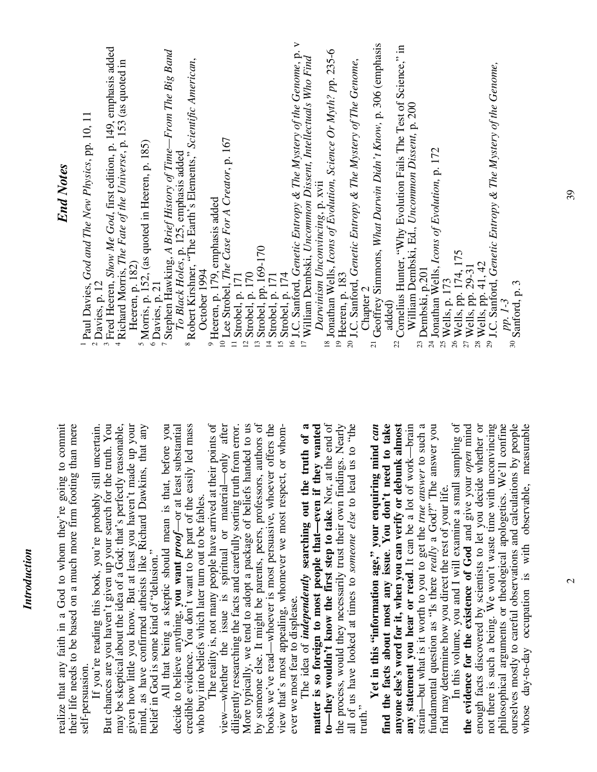| realize that any faith in a God to whom they're going to commit<br>their life needs to be based on a much more firm footing than mere         | <b>End Notes</b>                                                                                                                                         |
|-----------------------------------------------------------------------------------------------------------------------------------------------|----------------------------------------------------------------------------------------------------------------------------------------------------------|
| If you're reading this book, you're probably still uncertain.<br>self-persuasion.                                                             | Paul Davies, God and The New Physics, pp. 10, 11<br>$2$ Davies, p. 12                                                                                    |
| But chances are you haven't given up your search for the truth. You                                                                           | <sup>3</sup> Fred Heeren, Show Me God, first edition, p. 149, emphasis added                                                                             |
| your<br>may be skeptical about the idea of a God; that's perfectly reasonable,<br>given how little you know. But at least you haven't made up | <sup>4</sup> Richard Morris, The Fate of the Universe, p. 153 (as quoted in                                                                              |
| any<br>mind, as have confirmed atheists like Richard Dawkins, that                                                                            | <sup>5</sup> Morris, p. 152, (as quoted in Heeren, p. 185)<br>$\frac{6}{\pi}$ Davies, p. 21<br>Heeren, p. 182)                                           |
| you<br>All that being a skeptic should mean is that, before<br>belief in God is some kind of "delusion."                                      | <sup>7</sup> Stephen Hawking, A Brief History of Time-From The Big Band                                                                                  |
| decide to believe anything, you want <i>proof</i> —or at least substantial                                                                    | To Black Holes, p. 125, emphasis added                                                                                                                   |
| mass<br>credible evidence. You don't want to be part of the easily led<br>who buy into beliefs which later turn out to be fables.             | <sup>8</sup> Robert Kirshner, "The Earth's Elements," Scientific American,                                                                               |
| The reality is, not many people have arrived at their points of                                                                               | $9$ Heeren, p. 179, emphasis added<br>October 1994                                                                                                       |
| after<br>view—whether the issue is spiritual or material—only                                                                                 | <sup>10</sup> Lee Strobel, The Case For A Creator, p. 167                                                                                                |
| error.<br>diligently researching the facts and carefully sorting truth from                                                                   | $11$ Strobel, p. 171                                                                                                                                     |
| to us<br>More typically, we tend to adopt a package of beliefs handed                                                                         | $12$ Strobel, p. 170                                                                                                                                     |
| by someone else. It might be parents, peers, professors, authors of                                                                           | <sup>13</sup> Strobel, pp. 169-170                                                                                                                       |
| books we've read—whoever is most persuasive, whoever offers the                                                                               | Strobel, p. 171<br>$\vec{a}$                                                                                                                             |
| view that's most appealing, whomever we most respect, or whom-<br>ever we most fear to displease.                                             | <sup>15</sup> Strobel, p. 174                                                                                                                            |
| The idea of <i>independently</i> searching out the truth of a                                                                                 | <sup>16</sup> I.C. Sanford, Genetic Entropy & The Mystery of the Genome, p. v<br><sup>17</sup> William Dembski, Uncommon Dissent, Intellectuals Who Find |
| matter is so foreign to most people that-even if they wanted                                                                                  | Darwinism Unconvincing, p. xvii                                                                                                                          |
| to—they wouldn't know the first step to take. Nor, at the end of                                                                              | <sup>18</sup> Jonathan Wells, Icons of Evolution, Science Or Myth? pp. 235-6                                                                             |
| the process, would they necessarily trust their own findings. Nearly                                                                          | $^{19}$ Heeren, p. 183                                                                                                                                   |
| the<br>all of us have looked at times to someone else to lead us to<br>truth.                                                                 | 20 J.C. Sanford, Genetic Entropy & The Mystery of The Genome,                                                                                            |
| can<br>Yet in this "information age," your enquiring mind                                                                                     | Chapter 2                                                                                                                                                |
| find the facts about most any issue. You don't need to take                                                                                   | <sup>21</sup> Geoffrey Simmons, What Darwin Didn't Know, p. 306 (emphasis<br>added)                                                                      |
| anyone else's word for it, when you can verify or debunk almost                                                                               | <sup>22</sup> Cornelius Hunter, "Why Evolution Fails The Test of Science," in                                                                            |
| any statement you hear or read. It can be a lot of work—brain                                                                                 | William Dembski, Ed., Uncommon Dissent, p. 200                                                                                                           |
| strain—but what is it worth to you to get the <i>true answer</i> to such a                                                                    | <sup>23</sup> Dembski, p.201                                                                                                                             |
| fundamental question as "Is there really a God?" The answer you                                                                               | <sup>24</sup> Jonathan Wells, Icons of Evolution, p. 172                                                                                                 |
| find may determine how you direct the rest of your life.                                                                                      | $\frac{25}{1}$ Wells, p. 173                                                                                                                             |
| In this volume, you and I will examine a small sampling of<br>the evidence for the existence of God and give your open mind                   | $\frac{26}{17}$ Wells, pp. 174, 175                                                                                                                      |
| enough facts discovered by scientists to let you decide whether or                                                                            | $28$ Wells, pp. 41, 42<br>$\frac{27}{16}$ Wells, pp. 29-31                                                                                               |
| not there is such a being. We won't waste time with unconvincing                                                                              | J.C. Sanford, Genetic Entropy & The Mystery of the Genome,<br>29                                                                                         |
| philosophical arguments or theological apologetics. We'll confine                                                                             | pp. 1-3                                                                                                                                                  |
| ourselves mostly to careful observations and calculations by people                                                                           | $30$ Sanford, p. 3                                                                                                                                       |
| whose day-to-day occupation is with observable, measurable                                                                                    |                                                                                                                                                          |

*Introduction* 

Introduction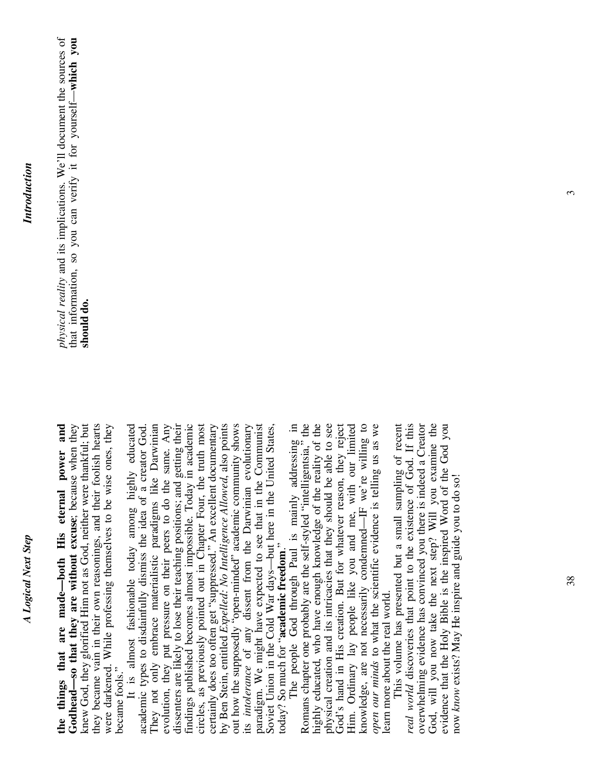**the things that are made—both His eternal power and Godhead—so that they are without excuse**; because when they knew God, they glorified Him not as God, neither were thankful; but they became vain in their own reasonings, and their foolish hearts were darkened. While professing themselves to be wise ones, they the things that are made-both His eternal power and Godhead—so that they are without excuse; because when they knew God, they glorified Him not as God, neither were thankful; but they became vain in their own reasonings, and their foolish hearts were darkened. While professing themselves to be wise ones, they became fools." became fools."

 It is almost fashionable today among highly educated academic types to disdainfully dismiss the idea of a creator God. They not only embrace materialistic paradigms like Darwinian evolution, they put pressure on their peers to do the same. Any dissenters are likely to lose their teaching positions; and getting their findings published becomes almost impossible. Today in academic circles, as previously pointed out in Chapter Four, the truth most certainly does too often get "suppressed." An excellent documentary certainly does too often get "suppressed." An excellent documentary by Ben Stein, entitled *Expelled: No Intelligence Allowed*, also points out how the supposedly "open-minded" academic community shows its *intolerance* of any dissent from the Darwinian evolutionary paradigm. We might have expected to see that in the Communist Soviet Union in the Cold War days—but here in the United States, It is almost fashionable today among highly educated They not only embrace materialistic paradigms like Darwinian evolution, they put pressure on their peers to do the same. Any dissenters are likely to lose their teaching positions; and getting their findings published becomes almost impossible. Today in academic circles, as previously pointed out in Chapter Four, the truth most by Ben Stein, entitled Expelled: No Intelligence Allowed, also points out how the supposedly "open-minded" academic community shows its *intolerance* of any dissent from the Darwinian evolutionary paradigm. We might have expected to see that in the Communist Soviet Union in the Cold War days—but here in the United States, academic types to disdainfully dismiss the idea of a creator God. today? So much for "academic freedom." today? So much for "**academic freedom**."

The people God through Paul is mainly addressing in<br>Romans chapter one probably are the self-styled "intelligentsia," the The people God through Paul is mainly addressing in Romans chapter one probably are the self-styled "intelligentsia," the highly educated, who have enough knowledge of the reality of the highly educated, who have enough knowledge of the reality of the physical creation and its intricacies that they should be able to see physical creation and its intricacies that they should be able to see God's hand in His creation. But for whatever reason, they reject Him. Ordinary lay people like you and me, with our limited Him. Ordinary lay people like you and me, with our limited knowledge, are not necessarily condemned—IF we're willing to *open our minds* to what the scientific evidence is telling us as we God's hand in His creation. But for whatever reason, they reject knowledge, are not necessarily condemned—IF we're willing to open our minds to what the scientific evidence is telling us as we learn more about the real world. earn more about the real world.

God, will you now take the next step? Will you examine the This volume has presented but a small sampling of recent real world discoveries that point to the existence of God. If this *real world* discoveries that point to the existence of God. If this overwhelming evidence has convinced you there is indeed a Creator overwhelming evidence has convinced you there is indeed a Creator evidence that the Holy Bible is the inspired Word of the God you This volume has presented but a small sampling of recent God, will you now take the next step? Will you examine the evidence that the Holy Bible is the inspired Word of the God you now *know* exists? May He inspire and guide you to do so! now know exists? May He inspire and guide you to do so!

*physical reality* and its implications. We'll document the sources of that information, so you can verify it for yourself—**which you**  physical reality and its implications. We'll document the sources of that information, so you can verify it for yourself-which you should do. **should do.**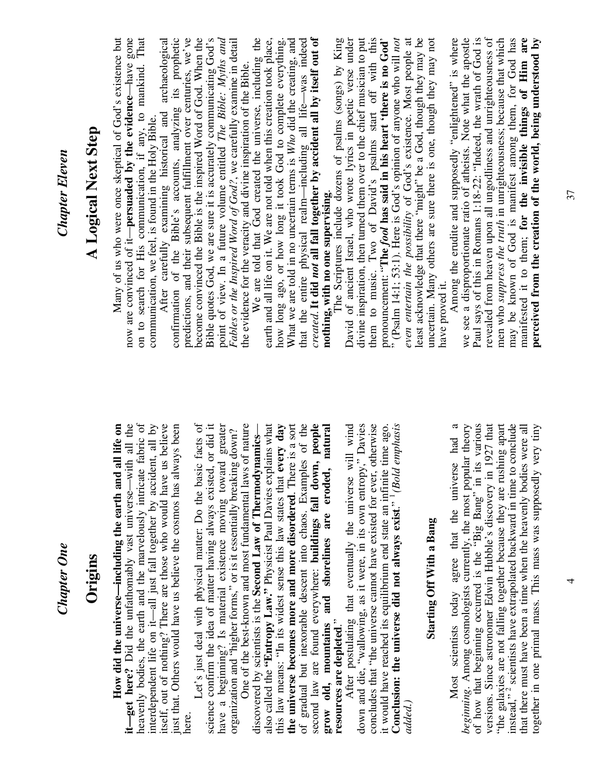| <b>Chapter Eleven</b><br>Chapter One | A Logical Next Step<br>Origins | confirmation of the Bible's accounts, analyzing its prophetic<br>now are convinced of it-persuaded by the evidence-have gone<br>on to search for His communication, if any, to mankind. That<br>Many of us who were once skeptical of God's existence but<br>After carefully examining historical and archaeological<br>communication, we feel, is found in the Holy Bible.<br>heavenly bodies, the earth and the marvelously intricate fabric of<br>it-get here? Did the unfathomably vast universe—with all the<br>interdependent life on it-all just fall together by accident, all by<br>itself, out of nothing? There are those who would have us believe<br>just that. Others would have us believe the cosmos has always been<br>all life on<br>How did the universe—including the earth and | become convinced the Bible is the inspired Word of God. When the<br>predictions, and their subsequent fulfillment over centuries, we've<br>Bible quotes God, we are sure it is accurately communicating God's point of view. In a future volume entitled The Bible: Myths and<br>Fables or the Inspired Word of God?, we carefully examine in detail<br>the evidence for the veracity and divine inspiration of the Bible.<br>Let's just deal with physical matter: Do the basic facts of<br>science confirm the idea of matter having always existed, or did it<br>One of the best-known and most fundamental laws of nature<br>have a beginning? Is material existence moving toward greater<br>organization and "higher forms," or is it essentially breaking down? | created. It did not all fall together by accident all by itself out of<br>We are told that God created the universe, including the<br>earth and all life on it. We are not told when this creation took place,<br>that the entire physical realm-including all life-was indeed<br>What we are told in no uncertain terms is Who did the creating, and<br>how long ago, or how long it took God to complete everything.<br>nothing, with no one supervising.<br>the universe becomes more and more disordered. There is a sort of gradual but inexorable descent into chaos. Examples of the<br>second law are found everywhere: buildings fall down, people<br>also called the "Entropy Law." Physicist Paul Davies explains what<br>every day<br>grow old, mountains and shorelines are eroded, natural<br>discovered by scientists is the Second Law of Thermodynamics- | even entertain the possibility of God's existence. Most people at least acknowledge that there "might" be a God, though they may be<br>them to music. Two of David's psalms start off with this<br><sup>5</sup> (Psalm 14:1; 53:1). Here is God's opinion of anyone who will not<br>divine inspiration, then turned them over to the chief musician to put<br>David of ancient Israel, who wrote lyrics in poetic verse under<br>The Scriptures include dozens of psalms (songs) by King<br>pronouncement: "The <i>fool</i> has said in his heart 'there is no God'<br>After postulating that eventually the universe will wind<br>down and die, "wallowing, as it were, in its own entropy," Davies<br>concludes that "the universe cannot have existed for ever, otherwise<br>Conclusion: the universe did not always exist." <sup>1</sup> (Bold emphasis<br>it would have reached its equilibrium end state an infinite time ago. | Among the erudite and supposedly "enlightened" is where<br>we see a disproportionate ratio of atheists. Note what the apostle<br>Paul says of this in Romans 1:18-22: "Indeed, the wrath of God is<br>revealed from heaven upon all ungodliness and unrighteousness of<br>may be known of God is manifest among them, for God has<br>manifested it to them; for the invisible things of Him are<br>men who suppress the truth in unrighteousness; because that which<br>uncertain. Many others are sure there is one, though they may not<br>perceived from the creation of the world, being understood by<br>have proved it.<br>"the galaxies are not falling together because they are rushing apart<br>of how that beginning occurred is the "Big Bang" in its various<br>versions. Since astronomer Edwin Hubble's discovery in 1927 that<br>instead," <sup>2</sup> scientists have extrapolated backward in time to conclude<br>beginning. Among cosmologists currently, the most popular theory<br>that there must have been a time when the heavenly bodies were all<br>Most scientists today agree that the universe had<br><b>Starting Off With a Bang</b> |
|--------------------------------------|--------------------------------|-----------------------------------------------------------------------------------------------------------------------------------------------------------------------------------------------------------------------------------------------------------------------------------------------------------------------------------------------------------------------------------------------------------------------------------------------------------------------------------------------------------------------------------------------------------------------------------------------------------------------------------------------------------------------------------------------------------------------------------------------------------------------------------------------------|------------------------------------------------------------------------------------------------------------------------------------------------------------------------------------------------------------------------------------------------------------------------------------------------------------------------------------------------------------------------------------------------------------------------------------------------------------------------------------------------------------------------------------------------------------------------------------------------------------------------------------------------------------------------------------------------------------------------------------------------------------------------|---------------------------------------------------------------------------------------------------------------------------------------------------------------------------------------------------------------------------------------------------------------------------------------------------------------------------------------------------------------------------------------------------------------------------------------------------------------------------------------------------------------------------------------------------------------------------------------------------------------------------------------------------------------------------------------------------------------------------------------------------------------------------------------------------------------------------------------------------------------------------|--------------------------------------------------------------------------------------------------------------------------------------------------------------------------------------------------------------------------------------------------------------------------------------------------------------------------------------------------------------------------------------------------------------------------------------------------------------------------------------------------------------------------------------------------------------------------------------------------------------------------------------------------------------------------------------------------------------------------------------------------------------------------------------------------------------------------------------------------------------------------------------------------------------------------------------|---------------------------------------------------------------------------------------------------------------------------------------------------------------------------------------------------------------------------------------------------------------------------------------------------------------------------------------------------------------------------------------------------------------------------------------------------------------------------------------------------------------------------------------------------------------------------------------------------------------------------------------------------------------------------------------------------------------------------------------------------------------------------------------------------------------------------------------------------------------------------------------------------------------------------------------------------------------------------------------------------------------------------------------------------------------------------------------------------------------------------------------------------------------------|
|                                      |                                |                                                                                                                                                                                                                                                                                                                                                                                                                                                                                                                                                                                                                                                                                                                                                                                                     |                                                                                                                                                                                                                                                                                                                                                                                                                                                                                                                                                                                                                                                                                                                                                                        | this law means: "In its widest sense this law states that                                                                                                                                                                                                                                                                                                                                                                                                                                                                                                                                                                                                                                                                                                                                                                                                                 | resources are depleted."<br>added.                                                                                                                                                                                                                                                                                                                                                                                                                                                                                                                                                                                                                                                                                                                                                                                                                                                                                                   | together in one primal mass. This mass was supposedly very tiny                                                                                                                                                                                                                                                                                                                                                                                                                                                                                                                                                                                                                                                                                                                                                                                                                                                                                                                                                                                                                                                                                                     |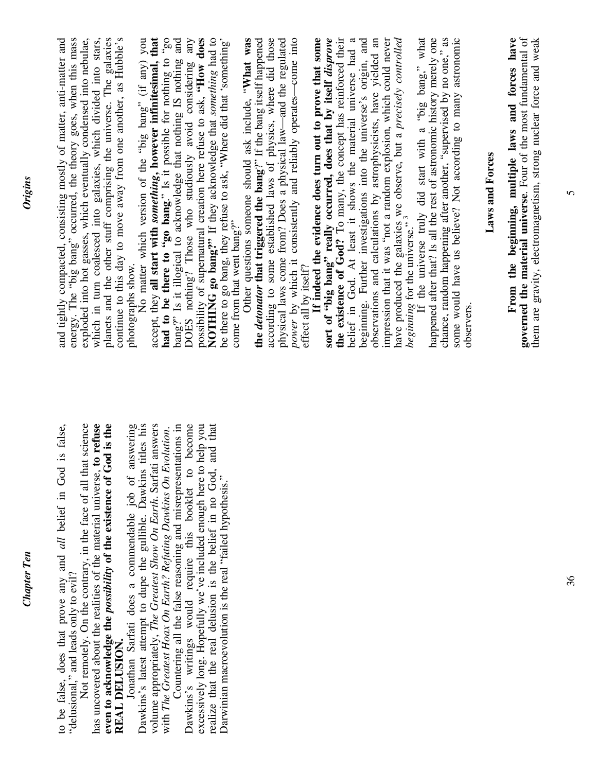| Darwinian macroevolution is the real "failed hypothesis." | the existence of God? To many, the concept has reinforced their<br>belief in God. At least it shows the material universe had a beginning. Further investigations into the universe's origin, and<br>observations and calculations by astrophysicists, have yielded an<br>impression that it was "not a random explosion, which could never<br>have produced the galaxies we observe, but a <i>precisely controlled</i> beginning for the universe." <sup>3</sup><br>happened after that? Is all the rest of astronomic history merely one<br>chance, random happening after another, "supervised by no one," as<br>some would have us believe? Not according to many astronomic<br>according to some established laws of physics, where did those<br>physical laws come from? Does a physical law—and the regulated power by which it consistently and reliably operates—come into<br>If indeed the evidence does turn out to prove that some<br>sort of "big bang" really occurred, does that by itself disprove<br>the detonator that triggered the bang?" If the bang itself happened<br>If the universe truly did start with a "big bang," what<br>be there to go bang, they refuse to ask, "Where did that 'something'<br>Other questions someone should ask include, "What was<br>come from that went bang?"<br>effect all by itself?<br>observers |
|-----------------------------------------------------------|-----------------------------------------------------------------------------------------------------------------------------------------------------------------------------------------------------------------------------------------------------------------------------------------------------------------------------------------------------------------------------------------------------------------------------------------------------------------------------------------------------------------------------------------------------------------------------------------------------------------------------------------------------------------------------------------------------------------------------------------------------------------------------------------------------------------------------------------------------------------------------------------------------------------------------------------------------------------------------------------------------------------------------------------------------------------------------------------------------------------------------------------------------------------------------------------------------------------------------------------------------------------------------------------------------------------------------------------------------------|
|                                                           | <b>Laws and Forces</b>                                                                                                                                                                                                                                                                                                                                                                                                                                                                                                                                                                                                                                                                                                                                                                                                                                                                                                                                                                                                                                                                                                                                                                                                                                                                                                                                    |
|                                                           | governed the material universe. Four of the most fundamental of<br>them are gravity, electromagnetism, strong nuclear force and weak<br>From the beginning, multiple laws and forces have                                                                                                                                                                                                                                                                                                                                                                                                                                                                                                                                                                                                                                                                                                                                                                                                                                                                                                                                                                                                                                                                                                                                                                 |
|                                                           |                                                                                                                                                                                                                                                                                                                                                                                                                                                                                                                                                                                                                                                                                                                                                                                                                                                                                                                                                                                                                                                                                                                                                                                                                                                                                                                                                           |

 $\overline{5}$ 

*Chapter Ten* 

**Chapter Ten** 

*Origins*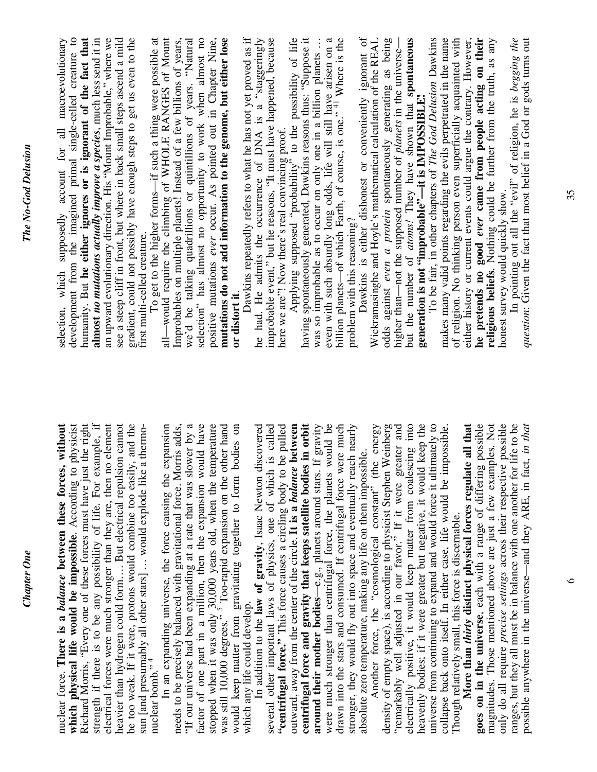| development from the imagined primal single-celled creature to<br>humanity. But he either ignores or is ignorant of the fact that<br>an upward evolutionary direction. His "Mount Improbable," where we<br>see a steep cliff in front, but where in back small steps ascend a mild<br>almost no mutations actually improve a species, much less send it in<br>gradient, could not possibly have enough steps to get us even to the<br>selection, which supposedly account for all macroevolutionary<br>first multi-celled creature.                                            | selection" has almost no opportunity to work when almost no<br>mutations do not add information to the genome, but either lose<br>all-would require the climbing of WHOLE RANGES of Mount<br>positive mutations ever occur. As pointed out in Chapter Nine,<br>To get to the higher forms—if such a thing were possible at<br>Improbables on multiple planets! Instead of a few billions of years,<br>we'd be talking quadrillions or quintillions of years. "Natural<br>or distort it.                                         | having spontaneously generated, Dawkins reasons thus: "Suppose it<br>even with such absurdly long odds, life will still have arisen on a billion planets—of which Earth, of course, is one." <sup>41</sup> Where is the<br>Dawkins repeatedly refers to what he has not yet proved as if<br>he had. He admits the occurrence of DNA is a "staggeringly<br>improbable event," but he reasons, "It must have happened, because<br>here we are"! Now there's real convincing proof.<br>Applying supposed "probability" to the possibility of life<br>was so improbable as to occur on only one in a billion planets<br>problem with this reasoning?                            | Dawkins is either dishonest or conveniently ignorant of<br>Wickramasinghe and Hoyle's mathematical calculation of the REAL<br>odds against even a protein spontaneously generating as being<br>he pretends no good ever came from people acting on their<br>In pointing out all the "evil" of religion, he is begging the<br>but the number of $atoms$ . They have shown that spontaneous generation is not "improbable"—it is IMPOSSIBLE!<br>To be fair, in other chapters of The God Delusion Dawkins<br>makes many valid points regarding the evils perpetrated in the name<br>either history or current events could argue the contrary. However,<br>question: Given the fact that most belief in a God or gods turns out<br>of religion. No thinking person even superficially acquainted with<br>religious beliefs. Nothing could be further from the truth, as any<br>higher than—not the supposed number of planets in the universe-<br>honest survey would quickly show.                                                                    |
|--------------------------------------------------------------------------------------------------------------------------------------------------------------------------------------------------------------------------------------------------------------------------------------------------------------------------------------------------------------------------------------------------------------------------------------------------------------------------------------------------------------------------------------------------------------------------------|---------------------------------------------------------------------------------------------------------------------------------------------------------------------------------------------------------------------------------------------------------------------------------------------------------------------------------------------------------------------------------------------------------------------------------------------------------------------------------------------------------------------------------|-----------------------------------------------------------------------------------------------------------------------------------------------------------------------------------------------------------------------------------------------------------------------------------------------------------------------------------------------------------------------------------------------------------------------------------------------------------------------------------------------------------------------------------------------------------------------------------------------------------------------------------------------------------------------------|------------------------------------------------------------------------------------------------------------------------------------------------------------------------------------------------------------------------------------------------------------------------------------------------------------------------------------------------------------------------------------------------------------------------------------------------------------------------------------------------------------------------------------------------------------------------------------------------------------------------------------------------------------------------------------------------------------------------------------------------------------------------------------------------------------------------------------------------------------------------------------------------------------------------------------------------------------------------------------------------------------------------------------------------------|
| strength if there is to be any possibility of life. For example, if<br>electrical forces were much stronger than they are, then no element<br>which physical life would be impossible. According to physicist<br>Richard Morris, "Every one of these forces must have just the right<br>heavier than hydrogen could form But electrical repulsion cannot<br>be too weak. If it were, protons would combine too easily, and the<br>nuclear force. There is a <i>balance</i> between these forces, without<br>sun [and presumably all other stars]  would explode like a thermo- | "If our universe had been expanding at a rate that was slower by a<br>factor of one part in a million, then the expansion would have<br>In an expanding universe, the force causing the expansion<br>stopped when it was only 30,000 years old, when the temperature<br>was still 10,000 degrees." <sup>5</sup> Too-rapid expansion on the other hand<br>needs to be precisely balanced with gravitational force. Morris adds,<br>bodies on<br>when the matter from gravitating together to form<br>nuclear bomb." <sup>4</sup> | centrifugal force and gravity that keeps satellite bodies in orbit around their mother bodies—e.g., planets around stars. If gravity<br>were much stronger than centrifugal force, the planets would be<br>drawn into the stars and consumed. If centrifugal force were much<br>outward, away from the center of the circle. It is a <i>balance</i> between<br>stronger, they would fly out into space and eventually reach nearly<br>In addition to the law of gravity, Isaac Newton discovered<br>several other important laws of physics, one of which is called<br>"centrifugal force." This force causes a circling body to be pulled<br>which any life could develop. | universe from continuing to expand and would force it ultimately to<br>"remarkably well adjusted in our favor." If it were greater and electrically positive, it would keep matter from coalescing into<br>heavenly bodies; if it were greater but negative, it would keep the<br>More than <i>thirty</i> distinct physical forces regulate all that<br>goes on in the universe, each with a range of differing possible<br>magnitudes. Those mentioned above are just a few examples. Not<br>only do all require precise settings across their respective possible<br>ranges, but they all must be in balance with one another for life to be<br>possible anywhere in the universe—and they ARE, in fact, in that<br>density of empty space), is according to physicist Stephen Weinberg<br>Another force, the "cosmological constant" (the energy<br>collapse back onto itself. In either case, life would be impossible.<br>absolute zero temperature, making any life on them impossible.<br>Though relatively small, this force is discernable. |

Chapter One *Chapter One*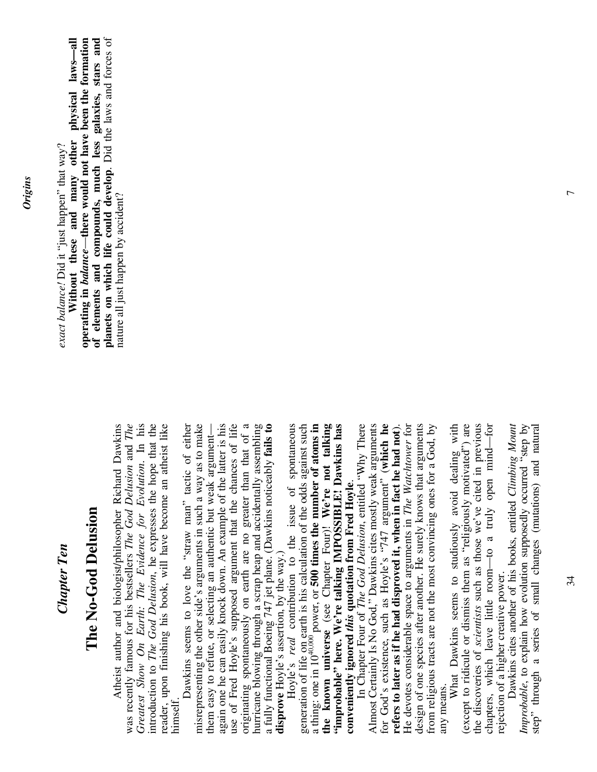#### *Chapter Ten*  **Chapter Ten**

### **The No-God Delusion**  The No-God Delusion

 Atheist author and biologist/philosopher Richard Dawkins was recently famous for his bestsellers *The God Delusion* and *The Greatest Show On Earth: The Evidence for Evolution*. In his introduction to *The God Delusion*, he expresses the hope that the reader, upon finishing his book, will have become an atheist like Atheist author and biologist/philosopher Richard Dawkins was recently famous for his bestsellers  $The God$  Delusion and The Greatest Show On Earth: The Evidence for Evolution. In his ntroduction to The God Delusion, he expresses the hope that the reader, upon finishing his book, will have become an atheist like himself.

 Dawkins seems to love the "straw man" tactic of either misrepresenting the other side's arguments in such a way as to make again one he can easily knock down. An example of the latter is his again one he can easily knock down. An example of the latter is his use of Fred Hoyle's supposed argument that the chances of life originating spontaneously on earth are no greater than that of a<br>hurricane blowing through a scrap heap and accidentally assembling<br>a fully functional Boeing 747 jet plane. (Dawkins noticeably **fails to** originating spontaneously on earth are no greater than that of a hurricane blowing through a scrap heap and accidentally assembling a fully functional Boeing 747 jet plane. (Dawkins noticeably **fails to**  Dawkins seems to love the "straw man" tactic of either misrepresenting the other side's arguments in such a way as to make use of Fred Hoyle's supposed argument that the chances of life them easy to refute, or selecting an authentic but weak argument them easy to refute, or selecting an authentic but weak argument disprove Hoyle's assertion, by the way.) **disprove** Hoyle's assertion, by the way.)

generation of life on earth is his calculation of the odds against such Hoyle's *real* contribution to the issue of spontaneous a thing: one in 1040,000 power, or **500 times the number of atoms in the known universe** (see Chapter Four)! **We're not talking "improbable" here. We're talking IMPOSSIBLE! Dawkins has**  Hoyle's real contribution to the issue of spontaneous generation of life on earth is his calculation of the odds against such  $\frac{1}{4}$  thing: one in 10<sup>40,000</sup> power, or **500 times the number of atoms in** the known universe (see Chapter Four)! We're not talking "improbable" here. We're talking IMPOSSIBLE! Dawkins has **conveniently ignored** *this* **quotation from Fred Hoyle**. conveniently ignored this quotation from Fred Hoyle.

 In Chapter Four of *The God Delusion*, entitled "Why There Almost Certainly Is No God," Dawkins cites mostly weak arguments for God's existence, such as Hoyle's "747 argument" (**which he refers to later as if he had disproved it, when in fact he had not**). He devotes considerable space to arguments in *The Watchtower* for design of one species after another. He surely knows that arguments from religious tracts are not the most convincing ones for a God, by In Chapter Four of The God Delusion, entitled "Why There Almost Certainly Is No God," Dawkins cites mostly weak arguments for God's existence, such as Hoyle's "747 argument" (which he refers to later as if he had disproved it, when in fact he had not). He devotes considerable space to arguments in The Watchtower for design of one species after another. He surely knows that arguments from religious tracts are not the most convincing ones for a God, by any means. any means.

What Dawkins seems to studiously avoid dealing with (except to ridicule or dismiss them as "religiously motivated") are the discoveries of *scientists* such as those we've cited in previous chapters, which leave little room—to a truly open mind—for What Dawkins seems to studiously avoid dealing with (except to ridicule or dismiss them as "religiously motivated") are the discoveries of scientists such as those we've cited in previous chapters, which leave little room-to a truly open mind-for rejection of a higher creative power. rejection of a higher creative power.

 Dawkins cites another of his books, entitled *Climbing Mount Improbable*, to explain how evolution supposedly occurred "step by step" through a series of small changes (mutations) and natural Dawkins cites another of his books, entitled Climbing Mount Improbable, to explain how evolution supposedly occurred "step by step" through a series of small changes (mutations) and natural

*exact balance!* Did it "just happen" that way? exact balance! Did it "just happen" that way?

**Without these and many other physical laws—all**  —**there would not have been the formation**  of elements and compounds, much less galaxies, stars and planets on which life could develop. Did the laws and forces of **of elements and compounds, much less galaxies, stars and planets on which life could develop**. Did the laws and forces of operating in balance—there would not have been the formation Without these and many other physical laws-all nature all just happen by accident? nature all just happen by accident? **operating in** *balance*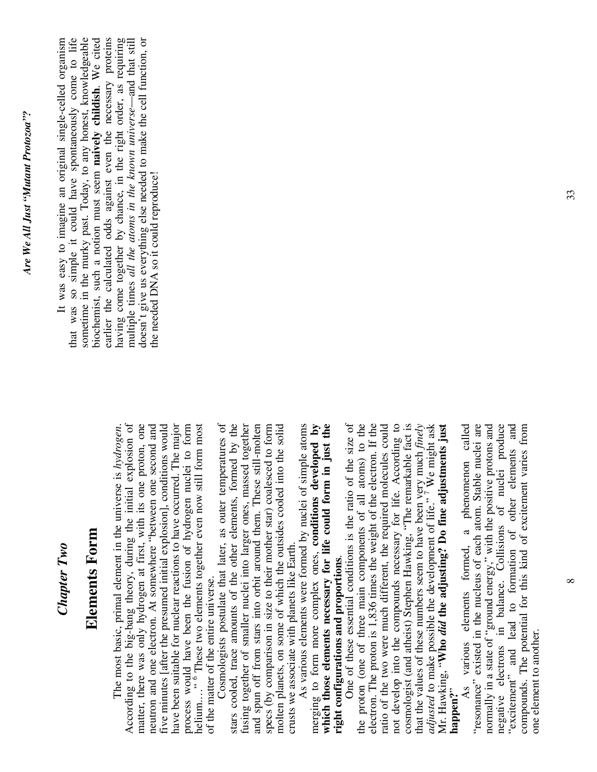#### *Chapter Two*  Chapter Two

### **Elements Form**  Elements Form

 The most basic, primal element in the universe is *hydrogen*. According to the big-bang theory, during the initial explosion of matter, there was only hydrogen at first, with its one proton, one neutron and one electron. At somewhere "between one second and five minutes [after the presumed initial explosion], conditions would have been suitable for nuclear reactions to have occurred. The major process would have been the fusion of hydrogen nuclei to form helium.…" 6 These two elements together even now still form most According to the big-bang theory, during the initial explosion of matter, there was only hydrogen at first, with its one proton, one neutron and one electron. At somewhere "between one second and five minutes [after the presumed initial explosion], conditions would have been suitable for nuclear reactions to have occurred. The major process would have been the fusion of hydrogen nuclei to form ." <sup>6</sup> These two elements together even now still form most The most basic, primal element in the universe is hydrogen. of the matter of the entire universe. of the matter of the entire universe. helium....'

 Cosmologists postulate that later, as outer temperatures of stars cooled, trace amounts of the other elements, formed by the fusing together of smaller nuclei into larger ones, massed together fusing together of smaller nuclei into larger ones, massed together and spun off from stars into orbit around them. These still-molten and spun off from stars into orbit around them. These still-molten specs (by comparison in size to their mother star) coalesced to form molten planets, on some of which the outsides cooled into the solid Cosmologists postulate that later, as outer temperatures of stars cooled, trace amounts of the other elements, formed by the specs (by comparison in size to their mother star) coalesced to form molten planets, on some of which the outsides cooled into the solid crusts we associate with planets like Earth. crusts we associate with planets like Earth.

 As various elements were formed by nuclei of simple atoms merging to form more complex ones, **conditions developed by which those elements necessary for life could form in just the**  As various elements were formed by nuclei of simple atoms merging to form more complex ones, conditions developed by which those elements necessary for life could form in just the **right configurations and proportions**. right configurations and proportions.

electron. The proton is 1,836 times the weight of the electron. If the One of these essential conditions is the ratio of the size of the proton (one of three main components of all atoms) to the the proton (one of three main components of all atoms) to the electron. The proton is 1,836 times the weight of the electron. If the ratio of the two were much different, the required molecules could not develop into the compounds necessary for life. According to cosmologist (and atheist) Stephen Hawking, "The remarkable fact is not develop into the compounds necessary for life. According to cosmologist (and atheist) Stephen Hawking, "The remarkable fact is that the values of these numbers seem to have been very much *finely adjusted* to make possible the development of life." 7 We might ask Mr. Hawking, "**Who** *did* **the adjusting? Do fine adjustments just**  One of these essential conditions is the ratio of the size of ratio of the two were much different, the required molecules could that the values of these numbers seem to have been very much finely *adjusted* to make possible the development of life." We might ask Mr. Hawking, "Who *did* the adjusting? Do fine adjustments just **happen?**"

 As various elements formed, a phenomenon called "resonance" existed in the nucleus of each atom. Stable nuclei are normally in a state of "ground energy," with the positive protons and<br>negative electrons in balance. Collisions of nuclei produce normally in a state of "ground energy," with the positive protons and negative electrons in balance. Collisions of nuclei produce "excitement" and lead to formation of other elements and compounds. The potential for this kind of excitement varies from various elements formed, a phenomenon called "resonance" existed in the nucleus of each atom. Stable nuclei are "excitement" and lead to formation of other elements and compounds. The potential for this kind of excitement varies from one element to another. one element to another.  $As$ 

 It was easy to imagine an original single-celled organism that was so simple it could have spontaneously come to life that was so simple it could have spontaneously come to life sometime in the murky past. Today, to any honest, knowledgeable sometime in the murky past. Today, to any honest, knowledgeable biochemist, such a notion must seem **naively childish**. We cited earlier the calculated odds against even the necessary proteins having come together by chance, in the right order, as requiring multiple times *all the atoms in the known universe*—and that still doesn't give us everything else needed to make the cell function, or earlier the calculated odds against even the necessary proteins It was easy to imagine an original single-celled organism biochemist, such a notion must seem naively childish. We cited having come together by chance, in the right order, as requiring multiple times all the atoms in the known universe—and that still doesn't give us everything else needed to make the cell function, or the needed DNA so it could reproduce! the needed DNA so it could reproduce!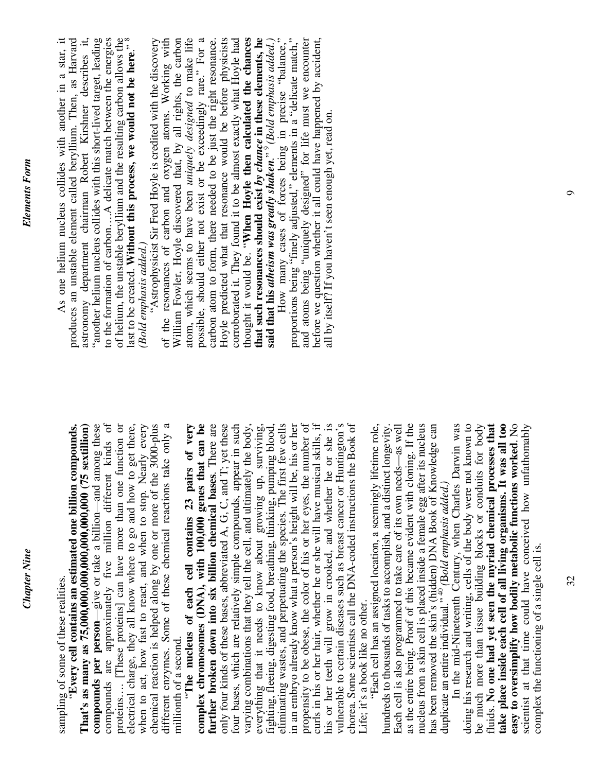*Chapter Nine* 

**Chapter Nine** 

different enzymes. Some of these chemical reactions take only a **compounds per person**—give or take a billion—and among these compounds are approximately five million different kinds of compounds are approximately five million different kinds of proteins…. [These proteins] can have more than one function or electrical charge, they all know where to go and how to get there, when to act, how fast to react, and when to stop. Nearly every chemical reaction is helped along by one or more of the 3000-plus different enzymes. Some of these chemical reactions take only a "**The nucleus of each cell contains 23 pairs of very**  proteins.... [These proteins] can have more than one function or electrical charge, they all know where to go and how to get there, when to act, how fast to react, and when to stop. Nearly every chemical reaction is helped along by one or more of the 3000-plus "The nucleus of each cell contains 23 pairs of very millionth of a second. millionth of a second.

vulnerable to certain diseases such as breast cancer or Huntington's **complex chromosomes (DNA), with 100,000 genes that can be further broken down into six billion chemical bases**. There are only four kinds of these bases, abbreviated A, G, C, and T; yet these only four kinds of these bases, abbreviated A, G, C, and T; yet these four bases, which are relatively simple compounds, appear in such varying combinations that they tell the cell, and ultimately the body, everything that it needs to know about growing up, surviving, everything that it needs to know about growing up, surviving, fighting, fleeing, digesting food, breathing, thinking, pumping blood, eliminating wastes, and perpetuating the species. The first few cells fighting, fleeing, digesting food, breathing, thinking, pumping blood, eliminating wastes, and perpetuating the species. The first few cells in an embryo already know what a person's height will be, his or her in an embryo already know what a person's height will be, his or her propensity to be obese, the color of his or her eyes, the number of propensity to be obese, the color of his or her eyes, the number of curls in his or her hair, whether he or she will have musical skills, if curls in his or her hair, whether he or she will have musical skills, if his or her teeth will grow in crooked, and whether he or she is vulnerable to certain diseases such as breast cancer or Huntington's chorea. Some scientists call the DNA-coded instructions the Book of chorea. Some scientists call the DNA-coded instructions the Book of complex chromosomes (DNA), with 100,000 genes that can be further broken down into six billion chemical bases. There are four bases, which are relatively simple compounds, appear in such varying combinations that they tell the cell, and ultimately the body, his or her teeth will grow in crooked, and whether he or she is Life; it's a book like no other. Life; it's a book like no other.

as the entire being. Proof of this became evident with cloning. If the "Each cell has an assigned location, a seemingly lifetime role, hundreds to thousands of tasks to accomplish, and a distinct longevity. Each cell is also programmed to take care of its own needs—as well as the entire being. Proof of this became evident with cloning. If the nucleus from a skin cell is placed inside a female egg after its nucleus has been removed the skin's (hidden) DNA Book of Knowledge can duplicate an entire individual."  $^{40}$  (Bold emphasis added.) has been removed the skin's (hidden) DNA Book of Knowledge can "Each cell has an assigned location, a seemingly lifetime role, Each cell is also programmed to take care of its own needs-as well nucleus from a skin cell is placed inside a female egg after its nucleus hundreds to thousands of tasks to accomplish, and a distinct longevity. duplicate an entire individual." 40 *(*B*old emphasis added*.*)*

In the mid-Nineteenth Century, when Charles Darwin was<br>doing his research and writing, cells of the body were not known to In the mid-Nineteenth Century, when Charles Darwin was doing his research and writing, cells of the body were not known to be much more than tissue building blocks or conduits for body be much more than tissue building blocks or conduits for body fluids. **No one had yet seen the myriad chemical processes that**  take place inside each cell of all living organisms. It was all too **take place inside each cell of all living organisms. It was all too**  easy to oversimplify how bodily metabolic functions worked. No **easy to oversimplify how bodily metabolic functions worked**. No scientist at that time could have conceived how unfathomably fluids. No one had yet seen the myriad chemical processes that scientist at that time could have conceived how unfathomably complex the functioning of a single cell is. complex the functioning of a single cell is.

 As one helium nucleus collides with another in a star, it produces an unstable element called beryllium. Then, as Harvard astronomy department chairman Robert Kirshner describes it, "another helium nucleus collides with this short-lived target, leading to the formation of carbon….A delicate match between the energies of helium, the unstable beryllium and the resulting carbon allows the<br>last to be created. Without this process, we would not be here."<sup>8</sup> of helium, the unstable beryllium and the resulting carbon allows the As one helium nucleus collides with another in a star, it produces an unstable element called beryllium. Then, as Harvard "another helium nucleus collides with this short-lived target, leading to the formation of carbon....A delicate match between the energies last to be created. **Without this process, we would not be here**." 8 astronomy department chairman Robert Kirshner describes it. Bold emphasis added.) *(Bold emphasis added.)*

 "Astrophysicist Sir Fred Hoyle is credited with the discovery of the resonances of carbon and oxygen atoms. Working with William Fowler, Hoyle discovered that, by all rights, the carbon atom, which seems to have been *uniquely designed* to make life possible, should either not exist or be exceedingly rare." For a possible, should either not exist or be exceedingly rare." For a carbon atom to form, there needed to be just the right resonance. Hoyle predicted what that resonance would be before physicists corroborated it. They found it to be almost exactly what Hoyle had thought it would be. "**When Hoyle then calculated the chances that such resonances should exist** *by chance* **in these elements, he**  of the resonances of carbon and oxygen atoms. Working with William Fowler, Hoyle discovered that, by all rights, the carbon atom, which seems to have been uniquely designed to make life carbon atom to form, there needed to be just the right resonance. Hoyle predicted what that resonance would be before physicists corroborated it. They found it to be almost exactly what Hoyle had thought it would be. "When Hoyle then calculated the chances "Astrophysicist Sir Fred Hoyle is credited with the discovery that such resonances should exist by chance in these elements, he said that his atheism was greatly shaken."  $9$  (Bold emphasis added.) **said that his** *atheism was greatly shaken*." 9 *(Bold emphasis added.)*

 How many cases of forces being in precise "balance," proportions being "finely adjusted," elements in a "delicate match," and atoms being "uniquely designed" for life must we encounter before we question whether it all could have happened by accident, How many cases of forces being in precise "balance," proportions being "finely adjusted," elements in a "delicate match,"<br>and atoms being "uniquely designed" for life must we encounter before we question whether it all could have happened by accident, all by itself? If you haven't seen enough yet, read on. all by itself? If you haven't seen enough yet, read on.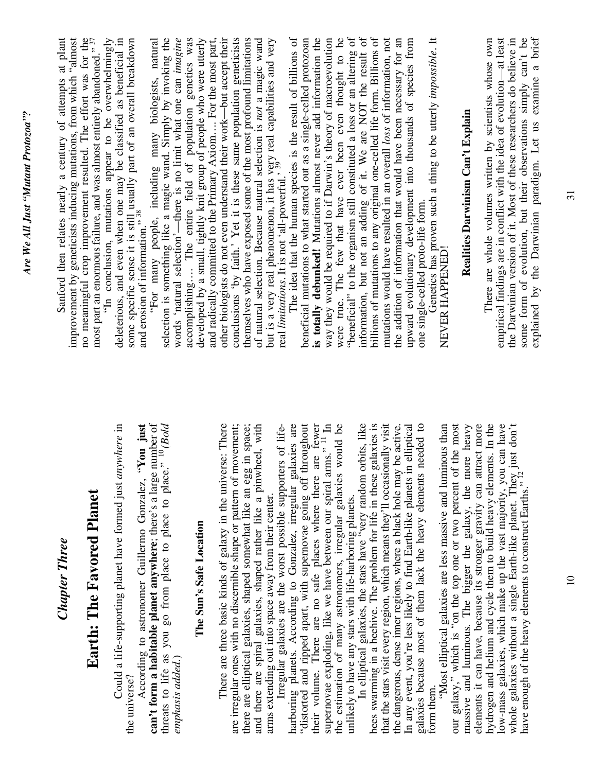| Sanford then relates nearly a century of attempts at plant | improvement by geneticists inducing mutations, from which "almost no meaningful crop improvement resulted. The effort was for the most part an enormous failure, and was almost entirely abandoned." $^{37}$ | some specific sense it is still usually part of an overall breakdown<br>and erosion of information." $^{38}$<br>"In conclusion, mutations appear to be overwhelmingly<br>deleterious, and even when one may be classified as beneficial in | selection is something like a magic wand. Simply by invoking the words 'natural selection'—there is no limit what one can <i>imagine</i><br>"For many people, including many biologists, natural                                                    | accomplishing The entire field of population genetics was<br>developed by a small, tightly knit group of people who were utterly | and radically committed to the Primary Axiom For the most part,<br>conclusions 'by faith.' Yet it is these same population geneticists<br>other biologists do not even understand their work-but accept their<br>themselves who have exposed some of the most profound limitations<br>of natural selection. Because natural selection is not a magic wand | The idea that the human species is the result of billions of<br>but is a very real phenomenon, it has very real capabilities and very<br>real <i>limitations</i> . It is not 'all-powerful.' <sup>39</sup> | is totally debunked! Mutations almost never add information the<br>beneficial mutations to what started out as a single-celled protozoan                                                                 | were true. The few that have ever been even thought to be<br>way they would be required to if Darwin's theory of macroevolution                     | "beneficial" to the organism still constituted a loss or an altering of information, but not an adding of it. We are NOT the result of billions of mutations to any original one-celled life form. Billions of | mutations would have resulted in an overall loss of information, not                                                                                  | upward evolutionary development into thousands of species from<br>the addition of information that would have been necessary for an                | one single-celled proto-life form.                                 | Genetics has proven such a thing to be utterly impossible. It<br>NEVER HAPPENED! | Realities Darwinism Can't Explain                                                                                               | empirical findings are in conflict with the idea of evolution-at least<br>the Darwinian version of it. Most of these researchers do believe in<br>There are whole volumes written by scientists whose own                                                                                                                                                 | explained by the Darwinian paradigm. Let us examine a brief<br>some form of evolution, but their observations simply can't be |
|------------------------------------------------------------|--------------------------------------------------------------------------------------------------------------------------------------------------------------------------------------------------------------|--------------------------------------------------------------------------------------------------------------------------------------------------------------------------------------------------------------------------------------------|-----------------------------------------------------------------------------------------------------------------------------------------------------------------------------------------------------------------------------------------------------|----------------------------------------------------------------------------------------------------------------------------------|-----------------------------------------------------------------------------------------------------------------------------------------------------------------------------------------------------------------------------------------------------------------------------------------------------------------------------------------------------------|------------------------------------------------------------------------------------------------------------------------------------------------------------------------------------------------------------|----------------------------------------------------------------------------------------------------------------------------------------------------------------------------------------------------------|-----------------------------------------------------------------------------------------------------------------------------------------------------|----------------------------------------------------------------------------------------------------------------------------------------------------------------------------------------------------------------|-------------------------------------------------------------------------------------------------------------------------------------------------------|----------------------------------------------------------------------------------------------------------------------------------------------------|--------------------------------------------------------------------|----------------------------------------------------------------------------------|---------------------------------------------------------------------------------------------------------------------------------|-----------------------------------------------------------------------------------------------------------------------------------------------------------------------------------------------------------------------------------------------------------------------------------------------------------------------------------------------------------|-------------------------------------------------------------------------------------------------------------------------------|
| <b>Chapter Three</b>                                       | Earth: The Favored Planet                                                                                                                                                                                    | Could a life-supporting planet have formed just anywhere in<br>the universe?                                                                                                                                                               | can't form a habitable planet anywhere; there's a large number of<br>threats to life as you go from place to place to place. <sup>3</sup> <sup>10</sup> ( <i>Bold emphasis added.</i> )<br>'You just<br>According to astronomer Guillermo Gonzalez, | The Sun's Safe Location                                                                                                          | are irregular ones with no discernible shape or pattern of movement;<br>and there are spiral galaxies, shaped rather like a pinwheel, with<br>There are three basic kinds of galaxy in the universe: There<br>there are elliptical galaxies, shaped somewhat like an egg in space;                                                                        | Irregular galaxies are the worst possible supporters of life-<br>arms extending out into space away from their center.                                                                                     | are fewer<br>harboring planets. According to Gonzalez, irregular galaxies are<br>"distorted and ripped apart, with supernovae going off throughout<br>their volume. There are no safe places where there | supernovae exploding, like we have between our spiral arms." <sup>11</sup> In<br>would be<br>the estimation of many astronomers, irregular galaxies | unlikely to have any stars with life-harboring planets.<br>In elliptical galaxies, the stars have "very random orbits, like                                                                                    | that the stars visit every region, which means they'll occasionally visit<br>galaxies is<br>bees swarming in a beehive. The problem for life in these | In any event, you're less likely to find Earth-like planets in elliptical<br>the dangerous, dense inner regions, where a black hole may be active. | needed to<br>galaxies because most of them lack the heavy elements | "Most elliptical galaxies are less massive and luminous than<br>form them.       | our galaxy," which is "on the top one or two percent of the most<br>massive and luminous. The bigger the galaxy, the more heavy | elements it can have, because its stronger gravity can attract more<br>hydrogen and helium and cycle them to build heavy elements. In the<br>low-mass galaxies, which make up the vast majority, you can have<br>just don't<br>whole galaxies without a single Earth-like planet. They<br>have enough of the heavy elements to construct Earths." $^{12}$ |                                                                                                                               |

 $\ensuremath{\mathop{\rule{0pt}{0pt}}\nolimits^{0}}$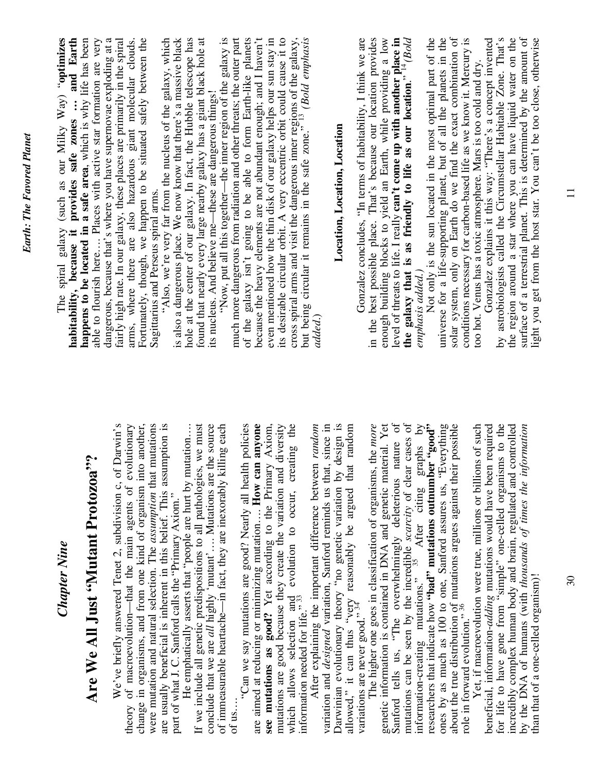| <b>Chapter Nine</b>                                                                                                                                                                                                                                                                                                            | The spiral galaxy (such as our Milky Way) "optimizes<br>and Earth<br>habitability, because it provides safe zones                                                                                                                                                                    |
|--------------------------------------------------------------------------------------------------------------------------------------------------------------------------------------------------------------------------------------------------------------------------------------------------------------------------------|--------------------------------------------------------------------------------------------------------------------------------------------------------------------------------------------------------------------------------------------------------------------------------------|
| 5.6<br>Are We All Just "Mutant Protozoa                                                                                                                                                                                                                                                                                        | happens to be located in a safe area, which is why life has been<br>able to flourish here Places with active star formation are very                                                                                                                                                 |
| We've briefly answered Tenet 2, subdivision c, of Darwin's theory of macroevolution—that the main agents of evolutionary<br>change in organisms, and from one kind of organism into another,                                                                                                                                   | dangerous, because that's where you have supernovae exploding at a<br>fairly high rate. In our galaxy, these places are primarily in the spiral<br>Fortunately, though, we happen to be situated safely between the<br>arms, where there are also hazardous giant molecular clouds.  |
| were mutation and natural selection. The assumption that mutations<br>are usually beneficial is inherent in this belief. This assumption is<br>part of what J. C. Sanford calls the "Primary Axiom."                                                                                                                           | is also a dangerous place. We now know that there's a massive black<br>"Also, we're very far from the nucleus of the galaxy, which<br>Sagittarius and Perseus spiral arms.                                                                                                           |
| If we include all genetic predispositions to all pathologies, we must<br>conclude that we are all highly 'mutant' Mutations are the source<br>He emphatically asserts that "people are hurt by mutation                                                                                                                        | hole at the center of our galaxy. In fact, the Hubble telescope has<br>found that nearly every large nearby galaxy has a giant black hole at<br>its nucleus. And believe me-these are dangerous things!                                                                              |
| of immeasurable heartache-in fact, they are inexorably killing each<br>"Can we say mutations are good? Nearly all health policies<br>of us.                                                                                                                                                                                    | "Now, put all this together—the inner region of the galaxy is<br>much more dangerous from radiation and other threats; the outer part<br>galaxy isn't going to be able to form Earth-like planets<br>of the                                                                          |
| see mutations as good? Yet according to the Primary Axiom, mutations are good because they create the variation and diversity<br>are aimed at reducing or minimizing mutation How can anyone                                                                                                                                   | because the heavy elements are not abundant enough; and I haven't<br>even mentioned how the thin disk of our galaxy helps our sun stay in                                                                                                                                            |
| which allows selection and evolution to occur, creating the information needed for life." $^{33}$                                                                                                                                                                                                                              | cross spiral arms and visit the dangerous inner regions of the galaxy, but being circular it remains in the safe zone." $^{13}$ (Bold emphasis<br>its desirable circular orbit. A very eccentric orbit could cause it to                                                             |
| variation and <i>designed</i> variation, Sanford reminds us that, since in<br>After explaining the important difference between random                                                                                                                                                                                         | added.                                                                                                                                                                                                                                                                               |
| Darwinian evolutionary theory "no genetic variation by design is                                                                                                                                                                                                                                                               | Location, Location, Location                                                                                                                                                                                                                                                         |
| allowed," it can thus "very reasonably be argued that random variations are never good." $34$ reasonably be argued that random                                                                                                                                                                                                 | Gonzalez concludes, "In terms of habitability, I think we are<br>in the best possible place. That's because our location provides                                                                                                                                                    |
| genetic information is contained in DNA and genetic material. Yet<br>The higher one goes in classification of organisms, the more                                                                                                                                                                                              | enough building blocks to yield an Earth, while providing a low                                                                                                                                                                                                                      |
| $\sigma$<br>mutations can be seen by the incredible <i>scarcity</i> of clear cases of<br>information-creating mutations." <sup>35</sup> After citing graphs by<br>nature<br>Sanford tells us, "The overwhelmingly deleterious                                                                                                  | level of threats to life. I really can't come up with another place in the galaxy that is as friendly to life as our location." $4$ ( <i>Bold</i>                                                                                                                                    |
| researchers that indicate how "bad" mutations outnumber "good"                                                                                                                                                                                                                                                                 | Not only is the sun located in the most optimal part of the<br>emphasis added.)                                                                                                                                                                                                      |
| about the true distribution of mutations argues against their possible role in forward evolution." $^{36}$<br>ones by as much as 100 to one, Sanford assures us, "Everything                                                                                                                                                   | solar system, only on Earth do we find the exact combination of<br>universe for a life-supporting planet, but of all the planets in the                                                                                                                                              |
| Yet, if macroevolution were true, millions or billions of such                                                                                                                                                                                                                                                                 | conditions necessary for carbon-based life as we know it. Mercury is<br>Gonzalez explains it this way: "There's a concept invented<br>too hot. Venus has a toxic atmosphere. Mars is too cold and dry.                                                                               |
| beneficial, information- <i>adding</i> mutations would have been required<br>for life to have gone from "simple" one-celled organisms to the<br>incredibly complex human body and brain, regulated and controlled<br>ofrmation<br>by the DNA of humans (with thousands of times the in<br>than that of a one-celled organism)! | the region around a star where you can have liquid water on the<br>surface of a terrestrial planet. This is determined by the amount of<br>by astrobiologists called the Circumstellar Habitable Zone. That's<br>light you get from the host star. You can't be too close, otherwise |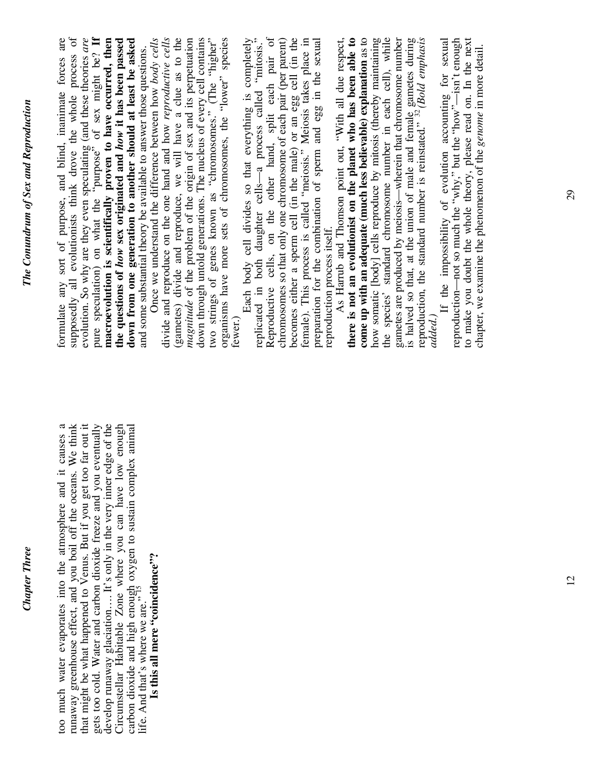#### formulate any sort of purpose, and blind, inanimate forces are supposedly all evolutionists think drove the whole process of evolution. So why are they even speculating (and these theories *are* pure speculation) on what the "purpose" of sex might be? If pure speculation) on what the "purpose" of sex might be? **If macroevolution is scientifically proven to have occurred, then the questions of** *how* **sex originated and** *how* **it has been passed down from one generation to another should at least be asked**  Once we understand the difference between how *body cells*  divide and reproduce on the one hand and how reproductive cells divide and reproduce on the one hand and how *reproductive cells*  (gametes) divide and reproduce, we will have a clue as to the (gametes) divide and reproduce, we will have a clue as to the magnitude of the problem of the origin of sex and its perpetuation *magnitude* of the problem of the origin of sex and its perpetuation down through untold generations. The nucleus of every cell contains two strings of genes known as "chromosomes." (The "higher" organisms have more sets of chromosomes, the "lower" species Each body cell divides so that everything is completely replicated in both daughter cells—a process called "mitosis." Reproductive cells, on the other hand, split each pair of chromosomes so that only one chromosome of each pair (per parent) becomes either a sperm cell (in the male) or an egg cell (in the becomes either a sperm cell (in the male) or an egg cell (in the female). This process is called "meiosis." Meiosis takes place in female). This process is called "meiosis." Meiosis takes place in preparation for the combination of sperm and egg in the sexual As Harrub and Thomson point out, "With all due respect, **there is not an evolutionist on the planet who has been able to come up with an adequate (much less believable) explanation** as to how somatic [body] cells reproduce by mitosis (thereby maintaining<br>the species' standard chromosome number in each cell), while how somatic [body] cells reproduce by mitosis (thereby maintaining the species' standard chromosome number in each cell), while gametes are produced by meiosis—wherein that chromosome number is halved so that, at the union of male and female gametes during<br>reproduction, the standard number is reinstated."  $^{32}$  (Bold emphasis is halved so that, at the union of male and female gametes during reproduction, the standard number is reinstated." 32 *(Bold emphasis*  If the impossibility of evolution accounting for sexual reproduction—not so much the "why," but the "how"—isn't enough to make you doubt the whole theory, please read on. In the next to make you doubt the whole theory, please read on. In the next formulate any sort of purpose, and blind, inanimate forces are supposedly all evolutionists think drove the whole process of macroevolution is scientifically proven to have occurred, then down from one generation to another should at least be asked down through untold generations. The nucleus of every cell contains two strings of genes known as "chromosomes." (The "higher" organisms have more sets of chromosomes, the "lower" species fewer.)<br>Each body cell divides so that everything is completely<br>replicated in both daughter cells—a process called "mitosis." Reproductive cells, on the other hand, split each pair of chromosomes so that only one chromosome of each pair (per parent) come up with an adequate (much less believable) explanation as to gametes are produced by meiosis—wherein that chromosome number If the impossibility of evolution accounting for sexual reproduction—not so much the "why," but the "how"—isn't enough evolution. So why are they even speculating (and these theories *are* the questions of how sex originated and how it has been passed Once we understand the difference between how body cells preparation for the combination of sperm and egg in the sexual As Harrub and Thomson point out, "With all due respect, there is not an evolutionist on the planet who has been able to chapter, we examine the phenomenon of the *genome* in more detail. and some substantial theory be available to answer those questions. chapter, we examine the phenomenon of the genome in more detail. and some substantial theory be available to answer those questions. reproduction process itself. reproduction process itself. *added.)* too much water evaporates into the atmosphere and it causes a runaway greenhouse effect, and you boil off the oceans. We think that might be what happened to Venus. But if you get too far out it that might be what happened to Venus. But if you get too far out it gets too cold. Water and carbon dioxide freeze and you eventually gets too cold. Water and carbon dioxide freeze and you eventually develop runaway glaciation…. It's only in the very inner edge of the Circumstellar Habitable Zone where you can have low enough carbon dioxide and high enough oxygen to sustain complex animal too much water evaporates into the atmosphere and it causes a runaway greenhouse effect, and you boil off the oceans. We think develop runaway glaciation.... It's only in the very inner edge of the Circumstellar Habitable Zone where you can have low enough carbon dioxide and high enough oxygen to sustain complex animal<br>life. And that's where we are."<sup>15</sup> Is this all mere "coincidence"? **Is this all mere "coincidence"?** life. And that's where we are."<sup> $15$ </sup>

*Chapter Three* 

**Chapter Three** 

*The Conundrum of Sex and Reproduction* 

The Conundrum of Sex and Reproduction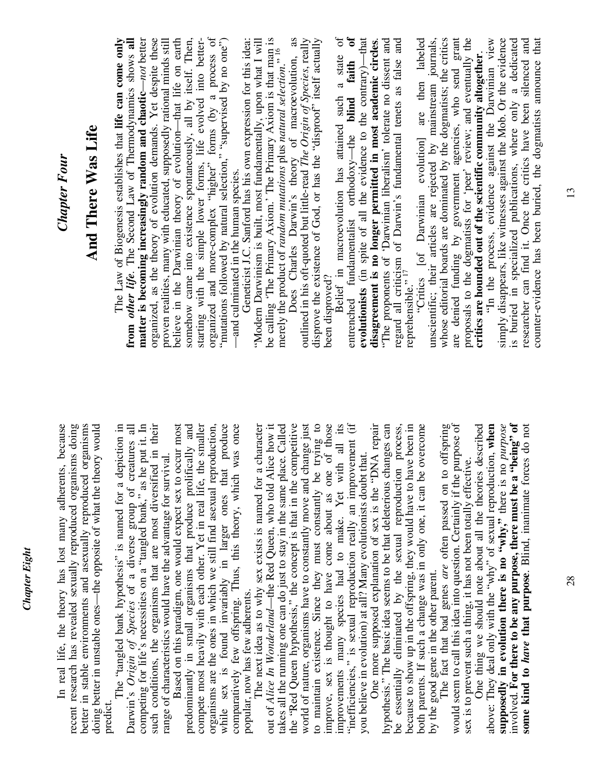| <b>Chapter Four</b>                                                                                                           | And There Was Life                                                  |                                                                                | The Law of Biogenesis establishes that life can come only | from other life. The Second Law of Thermodynamics shows all    | matter is becoming increasingly random and chaotic-not better          | organized, as the theory of evolution demands. Yet despite these  | proven realities, many with educated, supposedly rational minds still<br>believe in the Darwinian theory of evolution—that life on earth | somehow came into existence spontaneously, all by itself. Then, |                                                                     | starting with the simple lower forms, life evolved into better-<br>organized and more-complex "higher" forms (by a process of | "mutations followed by natural selection," "supervised by no one") | Geneticist J.C. Sanford has his own expression for this idea:<br>-and culminated in the human species. | "Modern Darwinism is built, most fundamentally, upon what I will                               | be calling 'The Primary Axiom.' The Primary Axiom is that man is | merely the product of random mutations plus natural selection." 16      | as<br>Does Charles Darwin's theory of macroevolution,              | outlined in his oft-quoted but little-read The Origin of Species, really | disprove the existence of God, or has the "disproof" itself actually                                                      | been disproved? | Belief in macroevolution has attained such a state of   | $\mathbf{d}$<br>entrenched fundamentalist orthodoxy-the blind faith | evolutionists (in spite of all the evidence to the contrary)-that | "The proponents of 'Darwinian liberalism' tolerate no dissent and<br>disagreement is no longer permitted in most academic circles. | and<br>regard all criticism of Darwin's fundamental tenets as false reprehensible." <sup>17</sup> |                                                                      | "Critics [of Darwinian evolution] are then labeled                    | unscientific; their articles are rejected by mainstream journals, | whose editorial boards are dominated by the dogmatists; the critics |                                                                         | are denied funding by government agencies, who send grant<br>proposals to the dogmatists for 'peer' review; and eventually the<br><b>critics are hounded out of the scientific community altogether</b> . | "In the process, evidence against the Darwinian view              | simply disappears, like witnesses against the Mob. Or the evidence | is buried in specialized publications, where only a dedicated     | counter-evidence has been buried, the dogmatists announce that<br>researcher can find it. Once the critics have been silenced and |
|-------------------------------------------------------------------------------------------------------------------------------|---------------------------------------------------------------------|--------------------------------------------------------------------------------|-----------------------------------------------------------|----------------------------------------------------------------|------------------------------------------------------------------------|-------------------------------------------------------------------|------------------------------------------------------------------------------------------------------------------------------------------|-----------------------------------------------------------------|---------------------------------------------------------------------|-------------------------------------------------------------------------------------------------------------------------------|--------------------------------------------------------------------|--------------------------------------------------------------------------------------------------------|------------------------------------------------------------------------------------------------|------------------------------------------------------------------|-------------------------------------------------------------------------|--------------------------------------------------------------------|--------------------------------------------------------------------------|---------------------------------------------------------------------------------------------------------------------------|-----------------|---------------------------------------------------------|---------------------------------------------------------------------|-------------------------------------------------------------------|------------------------------------------------------------------------------------------------------------------------------------|---------------------------------------------------------------------------------------------------|----------------------------------------------------------------------|-----------------------------------------------------------------------|-------------------------------------------------------------------|---------------------------------------------------------------------|-------------------------------------------------------------------------|-----------------------------------------------------------------------------------------------------------------------------------------------------------------------------------------------------------|-------------------------------------------------------------------|--------------------------------------------------------------------|-------------------------------------------------------------------|-----------------------------------------------------------------------------------------------------------------------------------|
| In real life, the theory has lost many adherents, because<br>recent research has revealed sexually reproduced organisms doing | organisms<br>better in stable environments and asexually reproduced | doing better in unstable ones-the opposite of what the theory would<br>predict | The "tangled bank hypothesis" is named for a depiction in | Darwin's Origin of Species of a diverse group of creatures all | competing for life's necessities on a "tangled bank," as he put it. In | such conditions, the organisms that are most diversified in their | Based on this paradigm, one would expect sex to occur most<br>range of characteristics would have the advantage for survival.            | predominantly in small organisms that produce prolifically and  | compete most heavily with each other. Yet in real life, the smaller | organisms are the ones in which we still find asexual reproduction,                                                           | produce<br>sex is found invariably in larger ones that<br>while    | was once<br>comparatively few offspring. Thus, this theory, which                                      | The next idea as to why sex exists is named for a character<br>popular, now has few adherents. | out of Alice In Wonderland-the Red Queen, who told Alice how it  | takes all the running one can do just to stay in the same place. Called | the "Red Queen hypothesis," the concept is that in the competitive | world of nature, organisms have to constantly move and change just       | to maintain existence. Since they must constantly be trying to improve, sex is thought to have come about as one of those |                 | improvements many species had to make. Yet with all its | "inefficiencies," is sexual reproduction really an improvement (if  | you believe in evolution) at all? Many evolutionists doubt that.  | One more supposed explanation of sex is the "DNA repair<br>hypothesis." The basic idea seems to be that deleterious changes can    | be essentially eliminated by the sexual reproduction process,                                     | because to show up in the offspring, they would have to have been in | overcome<br>both parents. If such a change was in only one, it can be | by the good gene in the other parent.                             | The fact that bad genes are often passed on to offspring            | would seem to call this idea into question. Certainly if the purpose of | described<br>sex is to prevent such a thing, it has not been totally effective.<br>One thing we should note about all the theories                                                                        | above: They deal only with the "why" of sexual reproduction, when | supposedly in evolution there is no "why," there is no purpose     | involved. For there to be any purpose, there must be a "being" of | some kind to have that purpose. Blind, inanimate forces do not                                                                    |

13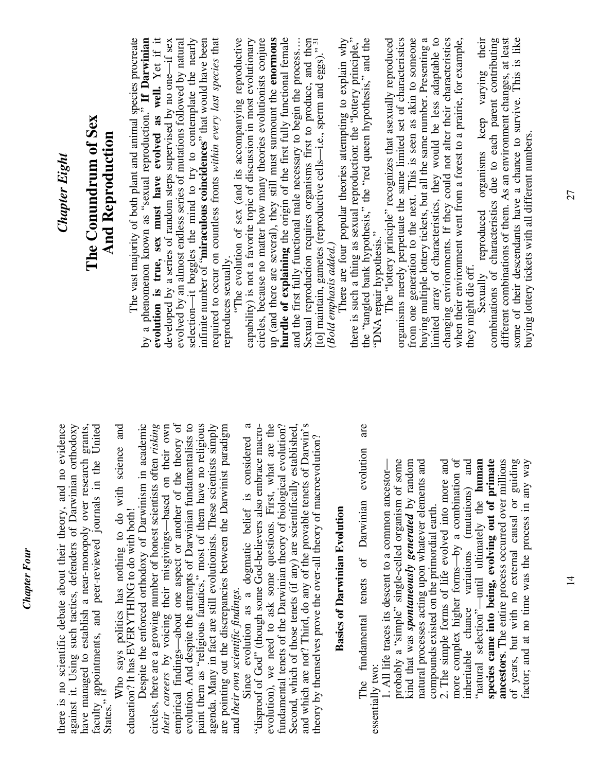| <b>Chapter Eight</b>                                                                                                                                                                                     | The Conundrum of Sex<br>And Reproduction                                              | The vast majority of both plant and animal species procreate                                          | evolution is true, sex must have evolved as well. Yet if it<br>by a phenomenon known as "sexual reproduction." If Darwinian          | developed by a series of random steps supervised by no one-if sex<br>evolved by an almost endless series of mutations followed by natural | selection-it boggles the mind to try to contemplate the nearly<br>infinite number of " <b>miraculous coincidences</b> " that would have been | required to occur on countless fronts within every last species that<br>reproduces sexually.                                               | "The evolution of sex (and its accompanying reproductive | circles, because no matter how many theories evolutionists conjure<br>capability) is not a favorite topic of discussion in most evolutionary | up (and there are several), they still must surmount the enormous | hurdle of explaining the origin of the first fully functional female<br>and the first fully functional male necessary to begin the process    | Sexual reproduction requires organisms first to produce, and then<br>[to] maintain, gametes (reproductive cells—i.e., sperm and eggs)." $^{31}$ | (Bold emphasis added.) | There are four popular theories attempting to explain why | there is such a thing as sexual reproduction: the "lottery principle,"<br>the "tangled bank hypothesis," the "red queen hypothesis," and the | The "lottery principle" recognizes that asexually reproduced<br>"DNA repair hypothesis." | organisms merely perpetuate the same limited set of characteristics                                   | from one generation to the next. This is seen as akin to someone<br>buying multiple lottery tickets, but all the same number. Presenting a | limited array of characteristics, they would be less adaptable to changing environments. If they could not alter their characteristics | when their environment went from a forest to a prairie, for example,                                    | they might die off.                            | different combinations of them. As an environment changes, at least<br>Sexually reproduced organisms keep varying their<br>combinations of characteristics due to each parent contributing | some of their descendants have a chance to survive. This is like<br>buying lottery tickets with all different numbers. |
|----------------------------------------------------------------------------------------------------------------------------------------------------------------------------------------------------------|---------------------------------------------------------------------------------------|-------------------------------------------------------------------------------------------------------|--------------------------------------------------------------------------------------------------------------------------------------|-------------------------------------------------------------------------------------------------------------------------------------------|----------------------------------------------------------------------------------------------------------------------------------------------|--------------------------------------------------------------------------------------------------------------------------------------------|----------------------------------------------------------|----------------------------------------------------------------------------------------------------------------------------------------------|-------------------------------------------------------------------|-----------------------------------------------------------------------------------------------------------------------------------------------|-------------------------------------------------------------------------------------------------------------------------------------------------|------------------------|-----------------------------------------------------------|----------------------------------------------------------------------------------------------------------------------------------------------|------------------------------------------------------------------------------------------|-------------------------------------------------------------------------------------------------------|--------------------------------------------------------------------------------------------------------------------------------------------|----------------------------------------------------------------------------------------------------------------------------------------|---------------------------------------------------------------------------------------------------------|------------------------------------------------|--------------------------------------------------------------------------------------------------------------------------------------------------------------------------------------------|------------------------------------------------------------------------------------------------------------------------|
| there is no scientific debate about their theory, and no evidence<br>against it. Using such tactics, defenders of Darwinian orthodoxy<br>have managed to establish a near-monopoly over research grants, | faculty appointments, and peer-reviewed journals in the United States." <sup>18</sup> | Who says politics has nothing to do with science and<br>education? It has EVERYTHING to do with both! | academic<br>circles, there are a growing number of honest scientists often risking<br>Despite the enforced orthodoxy of Darwinism in | empirical findings—about one aspect or another of the theory of<br>their careers by voicing their misgivings-based on their own           | evolution. And despite the attempts of Darwinian fundamentalists to<br>paint them as "religious fanatics," most of them have no religious    | agenda. Many in fact are still evolutionists. These scientists simply<br>are pointing out the discrepancies between the Darwinist paradigm | and their own scientific findings.                       | $\mathfrak{a}$<br>"disproof of God" (though some God-believers also embrace macro-<br>Since evolution as a dogmatic belief is considered     | evolution), we need to ask some questions. First, what are the    | fundamental tenets of the Darwinian theory of biological evolution?<br>Second, which of those tenets (if any) are scientifically established, | and which are not? Third, do any of the provable tenets of Darwin's<br>theory by themselves prove the over-all theory of macroevolution?        |                        | <b>Basics of Darwinian Evolution</b>                      | are<br>evolution<br>of Darwinian<br>fundamental tenets<br>essentially two:<br>The                                                            | 1. All life traces its descent to a common ancestor-                                     | probably a "simple" single-celled organism of some<br>kind that was spontaneously generated by random | natural processes acting upon whatever elements and                                                                                        | 2. The simple forms of life evolved into more and<br>compounds existed on the primordial earth.                                        | $\sigma$<br>inheritable chance variations (mutations) and<br>more complex higher forms-by a combination | "natural selection"—until ultimately the human | species came into being, evolving out of primate<br>ancestors. The entire process occurred over millions                                                                                   | of years, but with no external causal or guiding<br>factor; and at no time was the process in any way                  |

*Chapter Four* 

**Chapter Four**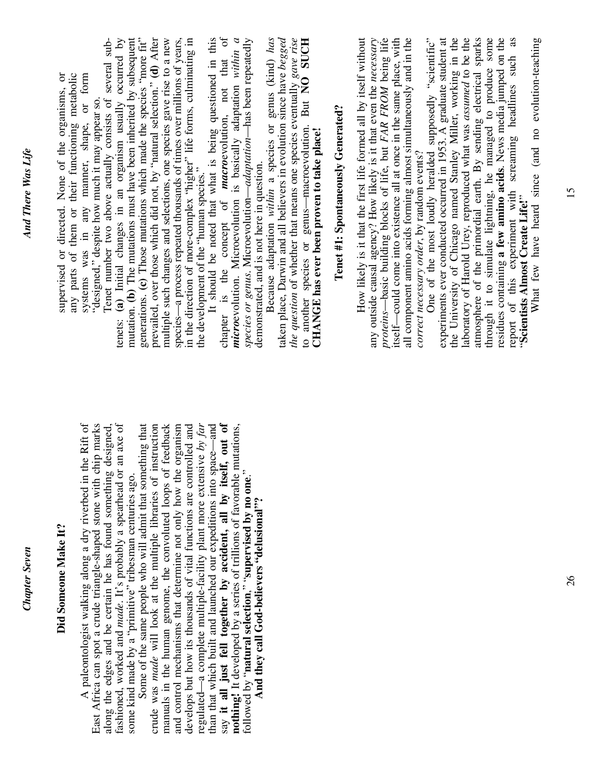15

*Chapter Seven* 

**Chapter Seven** 

*And There Was Life* 

And There Was Life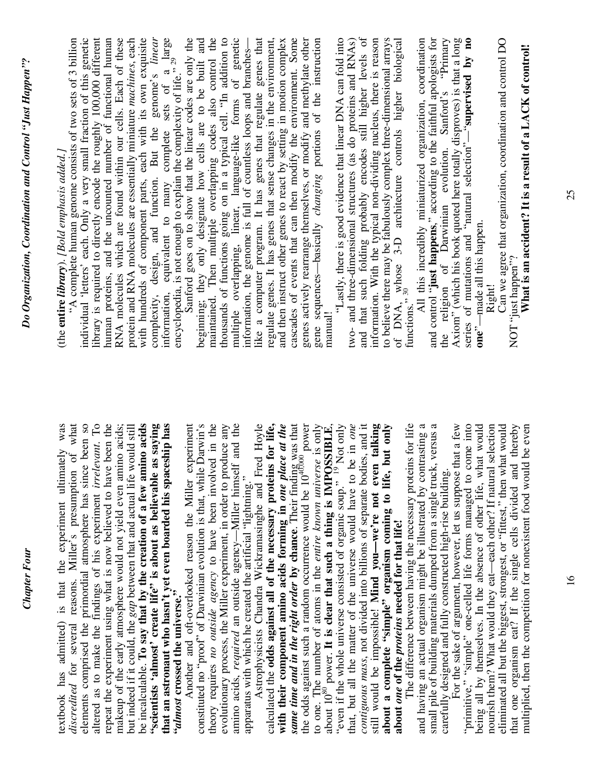| Do Organization, Coordination and Control "Just Happen"? | with hundreds of component parts, each with its own exquisite<br>complexity, design, and function. But the genome's <i>linear</i> information, equivalent to many complete sets of a large<br>library is required to directly encode the roughly 100,000 different<br>human proteins, and the uncounted number of functional human<br>encyclopedia, is not enough to explain the complexity of life." $^{29}$<br>Sanford once on the state of the complexity of life." $^{29}$<br>individual 'letters' each. Only a very small fraction of this genetic<br>RNA molecules which are found within our cells. Each of these<br>protein and RNA molecules are essentially miniature machines, each<br>Sanford goes on to show that the linear codes are only the<br>"A complete human genome consists of two sets of 3 billion<br>complexity, design, and function. But the<br>(the entire library). [Bold emphasis added.]                                    | genetic<br>beginning; they only designate how cells are to be built and maintained. Then multiple overlapping codes also control the<br>genes actively rearrange themselves, or modify and methylate other<br>thousands of functions going on in a typical cell. "In addition to<br>like a computer program. It has genes that regulate genes that<br>regulate genes. It has genes that sense changes in the environment, and then instruct other genes to react by setting in motion complex<br>gene sequences-basically changing portions of the instruction<br>cascades of events that can then modify the environment. Some<br>multiple overlapping, linear, language-like forms of genetinformation, the genome is full of countless loops and branches-<br>manual! | and that such folding probably encodes still higher levels of<br>"Lastly, there is good evidence that linear DNA can fold into<br>information. With the typical non-dividing nucleus, there is reason<br>to believe there may be fabulously complex three-dimensional arrays<br>All this incredibly miniaturized organization, coordination<br>and control "just happens," according to the faithful apologists for<br>Axiom" (which his book quoted here totally disproves) is that a long<br>two- and three-dimensional structures (as do proteins and RNAs)<br>Sanford's "Primary<br>series of mutations and "natural selection"-"supervised by no<br>of DNA, whose 3-D architecture controls higher biological<br>functions." 30<br>Can we agree that organization, coordination and control DO<br>What is an accident? It is a result of a LACK of control!<br>the religion of Darwinian evolution.<br>-made all this happen.<br>NOT "just happen"?<br>Right!<br>$one^{\prime}-$                                                                                                                                                                                                              |
|----------------------------------------------------------|------------------------------------------------------------------------------------------------------------------------------------------------------------------------------------------------------------------------------------------------------------------------------------------------------------------------------------------------------------------------------------------------------------------------------------------------------------------------------------------------------------------------------------------------------------------------------------------------------------------------------------------------------------------------------------------------------------------------------------------------------------------------------------------------------------------------------------------------------------------------------------------------------------------------------------------------------------|--------------------------------------------------------------------------------------------------------------------------------------------------------------------------------------------------------------------------------------------------------------------------------------------------------------------------------------------------------------------------------------------------------------------------------------------------------------------------------------------------------------------------------------------------------------------------------------------------------------------------------------------------------------------------------------------------------------------------------------------------------------------------|----------------------------------------------------------------------------------------------------------------------------------------------------------------------------------------------------------------------------------------------------------------------------------------------------------------------------------------------------------------------------------------------------------------------------------------------------------------------------------------------------------------------------------------------------------------------------------------------------------------------------------------------------------------------------------------------------------------------------------------------------------------------------------------------------------------------------------------------------------------------------------------------------------------------------------------------------------------------------------------------------------------------------------------------------------------------------------------------------------------------------------------------------------------------------------------------------|
| <b>Chapter Four</b>                                      | e been so<br>altered as to make the findings of his experiment <i>irrelevant</i> . To repeat the experiment using what is now believed to have been the<br>be incalculable. To say that by the creation of a few amino acids<br>experiment<br>constituted no "proof" of Darwinian evolution is that, while Darwin's<br>textbook has admitted) is that the experiment ultimately was<br>disconsituated for control reasons Miller's presumption of what<br>that an astronaut who hasn't yet even boarded his spaceship has<br>"almost crossed the universe."<br>"scientists 'almost' create life" is about as believable as saying<br>makeup of the early atmosphere would not yield even amino acids;<br>but indeed if it could, the <i>gap</i> between that and actual life would still<br>discredited for several reasons. Miller's presumption<br>elements comprised the primordial atmosphere has sinc<br>Another and oft-overlooked reason the Miller | theory requires no outside agency to have been involved in the<br>calculated the odds against all of the necessary proteins for life,<br>same time and in the right order by chance. Their finding was that<br>the odds against such a random occurrence would be $10^{40,000}$ power<br>to one. The number of atoms in the <i>entire known universe</i> is only<br>about $10^{8}$ pow<br>evolutionary process, the Miller experiment, in order to produce any<br>amino acids, required an outside agency—Miller himself and the<br>Astrophysicists Chandra Wickramasinghe and Fred Hoyle<br>with their component amino acids forming in one place at the<br>apparatus with which he created the artificial "lightning."                                                 | The difference between having the necessary proteins for life<br>be in one<br>contiguous mass, not divided into billions of separate bodies, and it<br>still would be impossible! Mind you-we're not even talking<br>and having an actual organism might be illustrated by contrasting a<br>small pile of building materials dumped from a single truck, versus a<br>For the sake of argument, however, let us suppose that a few<br>nourish them? What would they eat—each other? If natural selection<br>about a complete "simple" organism coming to life, but only<br>"primitive," "simple" one-celled life forms managed to come into<br>being all by themselves. In the absence of other life, what would<br>eliminated all but the biggest, strongest, or "fittest," then what would<br>that one organism eat? If the single cells divided and thereby<br>multiplied, then the competition for nonexistent food would be even<br>"even if the whole universe consisted of organic soup." <sup>19</sup> Not only<br>carefully designed and fully constructed high-rise building<br>that, but all the matter of the universe would have to<br>about one of the proteins needed for that life! |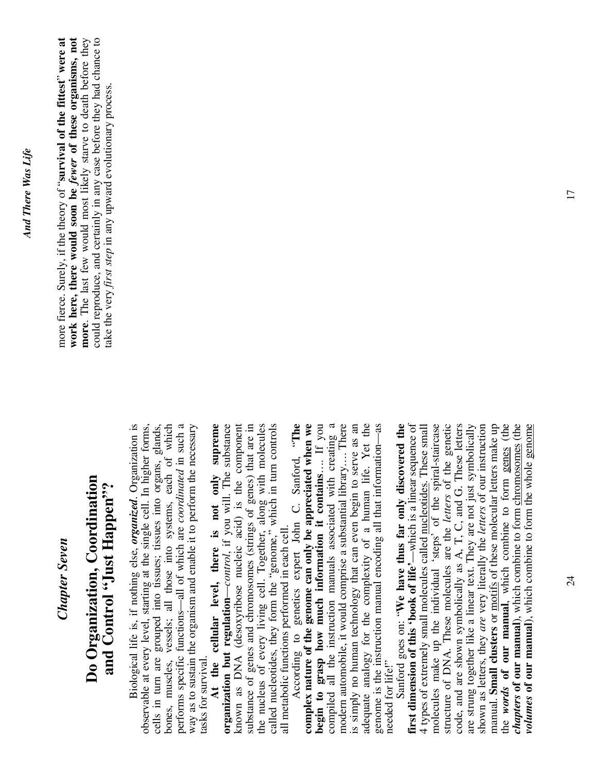### *Chapter Seven*  **Chapter Seven**

### **Do Organization, Coordination**  Do Organization, Coordination **and Control "Just Happen"?**  and Control "Just Happen"?

 Biological life is, if nothing else, *organized*. Organization is observable at every level, starting at the single cell. In higher forms, cells in turn are grouped into tissues; tissues into organs, glands, bones, muscles, vessels; all those into systems, each of which performs specific functions—all of which are *coordinated* in such a performs specific functions—all of which are *coordinated* in such a way as to sustain the organism and enable it to perform the necessary Biological life is, if nothing else, organized. Organization is observable at every level, starting at the single cell. In higher forms, cells in turn are grouped into tissues; tissues into organs, glands, bones, muscles, vessels; all those into systems, each of which way as to sustain the organism and enable it to perform the necessary tasks for survival. tasks for survival.

**At the cellular level, there is not only supreme organization but regulation**—*control*, if you will. The substance known as DNA (desoxyribose nucleic acid) is the component substance of genes and chromosomes (strings of genes) that are in the nucleus of every living cell. Together, along with molecules called nucleotides, they form the "genome," which in turn controls At the cellular level, there is not only supreme organization but regulation—control, if you will. The substance known as DNA (desoxyribose nucleic acid) is the component substance of genes and chromosomes (strings of genes) that are in the nucleus of every living cell. Together, along with molecules<br>called nucleotides, they form the "genome," which in turn controls all metabolic functions performed in each cell. all metabolic functions performed in each cell.

 According to genetics expert John C. Sanford, "**The complex nature of the genome can only be appreciated when we begin to grasp how much information it contains**…. If you compiled all the instruction manuals associated with creating a modern automobile, it would comprise a substantial library…. There is simply no human technology that can even begin to serve as an is simply no human technology that can even begin to serve as an adequate analogy for the complexity of a human life. Yet the adequate analogy for the complexity of a human life. Yet the genome is the instruction manual encoding all that information—as genome is the instruction manual encoding all that information—as According to genetics expert John C. Sanford, "The complex nature of the genome can only be appreciated when we begin to grasp how much information it contains.... If you compiled all the instruction manuals associated with creating a modern automobile, it would comprise a substantial library.... There needed for life!" needed for life!"

are strung together like a linear text. They are not just symbolically Sanford goes on: "We have thus far only discovered the Sanford goes on: "**We have thus far only discovered the first dimension of this 'book of life'**—which is a linear sequence of 4 types of extremely small molecules called nucleotides. These small molecules make up the individual 'steps' of the spiral-staircase structure of DNA. These molecules are the letters of the genetic structure of DNA. These molecules are the *letters* of the genetic code, and are shown symbolically as A, T, C, and G. These letters shown as letters, they *are* very literally the *letters* of our instruction manual. **Small clusters** or motifs of these molecular letters make up the *words* **of our manual**, which combine to form genes (the *chapters* **of our manual**), which combine to form chromosomes (the *volumes* **of our manual**), which combine to form the whole genome first dimension of this 'book of life'—which is a linear sequence of 4 types of extremely small molecules called nucleotides. These small molecules make up the individual 'steps' of the spiral-staircase code, and are shown symbolically as A, T, C, and G. These letters are strung together like a linear text. They are not just symbolically shown as letters, they are very literally the letters of our instruction manual. Small clusters or motifs of these molecular letters make up the words of our manual, which combine to form genes (the *chapters* of our manual), which combine to form chromosomes (the *volumes* of our manual), which combine to form the whole genome

more fierce. Surely, if the theory of "**survival of the fittest**" **were at work here, there would soon be** *fewer* **of these organisms, not**  more. The last few would most likely starve to death before they **more**. The last few would most likely starve to death before they could reproduce, and certainly in any case before they had chance to could reproduce, and certainly in any case before they had chance to more fierce. Surely, if the theory of "survival of the fittest" were at work here, there would soon be *fewer* of these organisms, not take the very *first step* in any upward evolutionary process. take the very *first step* in any upward evolutionary process.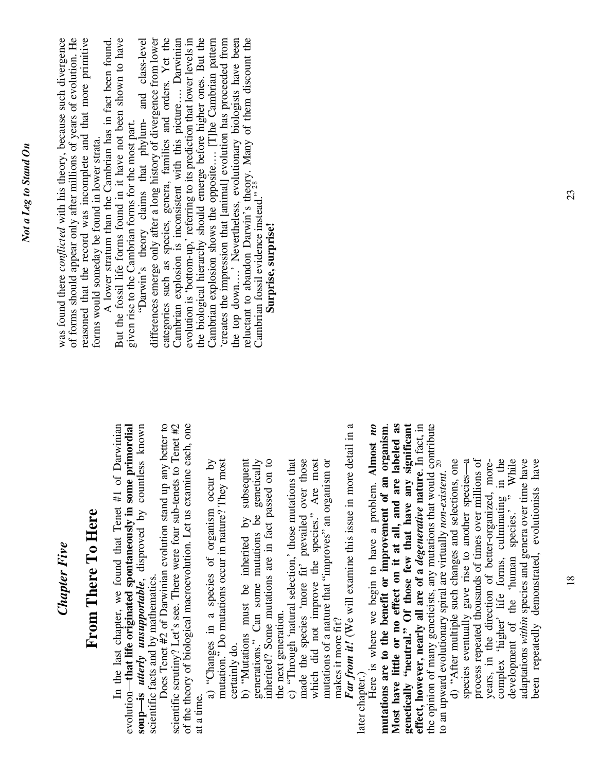| Chapter Five                                                                                                                                                                                                                                  | was found there conflicted with his theory, because such divergence<br>of forms should appear only after millions of years of evolution. He                                                                                                                                            |
|-----------------------------------------------------------------------------------------------------------------------------------------------------------------------------------------------------------------------------------------------|----------------------------------------------------------------------------------------------------------------------------------------------------------------------------------------------------------------------------------------------------------------------------------------|
| From There To Here                                                                                                                                                                                                                            | reasoned that the record was incomplete and that more primitive<br>forms would someday be found in lower strata.                                                                                                                                                                       |
| In the last chapter, we found that Tenet #1 of Darwinian<br>primordial<br>soup-is <i>utterly unsupportable</i> , disproved by countless known<br>evolution—that life originated spontaneously in some<br>scientific facts and by mathematics. | But the fossil life forms found in it have not been shown to have<br>"Darwin's theory claims that phylum- and class-level<br>A lower stratum than the Cambrian has in fact been found.<br>given rise to the Cambrian forms for the most part.                                          |
| Does Tenet #2 of Darwinian evolution stand up any better to<br>to Tenet $#2$<br>of the theory of biological macroevolution. Let us examine each, one<br>scientific scrutiny? Let's see. There were four sub-tenets                            | categories such as species, genera, families and orders. Yet the Cambrian explosion is inconsistent with this picture Darwinian<br>differences emerge only after a long history of divergence from lower<br>evolution is 'bottom-up,' referring to its prediction that lower levels in |
| $\overline{M}$<br>iost<br>mutation." Do mutations occur in nature? They m<br>a) "Changes in a species of organism occur<br>certainly do.<br>at a time.                                                                                        | the biological hierarchy should emerge before higher ones. But the<br>creates the impression that [animal] evolution has proceeded from<br>Cambrian explosion shows the opposite [T]he Cambrian pattern                                                                                |
| generations." Can some mutations be genetically<br>$\frac{1}{2}$<br>b) "Mutations must be inherited by subsequent<br>inherited? Some mutations are in fact passed on                                                                          | reluctant to abandon Darwin's theory. Many of them discount the Cambrian fossil evidence instead." <sup>28</sup><br>the top down' Nevertheless, evolutionary biologists have been<br>Surprise, surprise!                                                                               |
| made the species 'more fit' prevailed over those<br>which did not improve the species." Are most<br>that<br>c) "Through 'natural selection,' those mutations to<br>the next generation.                                                       |                                                                                                                                                                                                                                                                                        |
| detail in a<br>mutations of a nature that "improves" an organism or<br>Far from it! (We will examine this issue in more<br>makes it more fit?                                                                                                 |                                                                                                                                                                                                                                                                                        |
| Here is where we begin to have a problem. Almost no<br>organism.<br>mutations are to the benefit or improvement of an<br>later chapter.                                                                                                       |                                                                                                                                                                                                                                                                                        |

*Not a Leg to Stand On*  Not a Leg to Stand On

18

**mutations are to the benefit or improvement of an organism**. **Most have little or no effect on it at all, and are labeled as genetically "neutral." Of those few that have any significant effect, however, nearly all are of a** *degenerative* **nature**. In fact, in the opinion of many geneticists, any mutations that would contribute

Most have little or no effect on it at all, and are labeled as

effect, however, nearly all are of a degenerative nature. In fact, in the opinion of many geneticists, any mutations that would contribute<br>to an upward evolutionary spiral are virtually *non-existent*.<sup>20</sup>

genetically "neutral." Of those few that have any significant

to an upward evolutionary spiral are virtually *non-existent*. 20

d) "After multiple such changes and selections, one species eventually gave rise to another species—a process repeated thousands of times over millions of years, in the direction of better-organized, morecomplex 'higher' life forms, culminating in the development of the 'human species.' " While adaptations *within* species and genera over time have been repeatedly demonstrated, evolutionists have

d) "After multiple such changes and selections, one

species eventually gave rise to another species-a process repeated thousands of times over millions of complex 'higher' life forms, culminating in the development of the 'human species.' " While

years, in the direction of better-organized, more-

adaptations within species and genera over time have<br>been repeatedly demonstrated, evolutionists have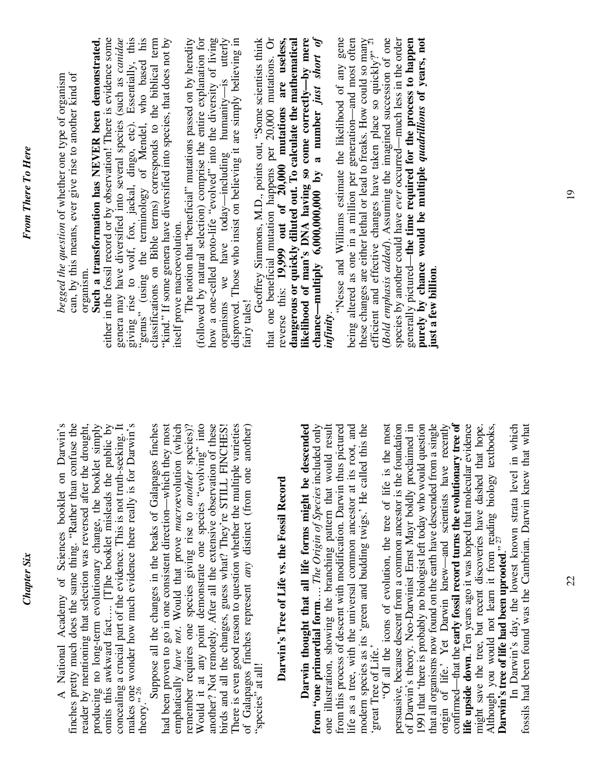| "genus" (using the terminology of Mendel, who based his classifications on Bible terms) corresponds to the biblical term<br>Such a transformation has NEVER been demonstrated,<br>either in the fossil record or by observation! There is evidence some<br>genera may have diversified into several species (such as canidae<br>giving rise to wolf, fox, jackal, dingo, etc). Essentially, this<br>"kind." If some genera have diversified into species, that does not by<br>The notion that "beneficial" mutations passed on by heredity<br>(followed by natural selection) comprise the entire explanation for<br>how a one-celled proto-life "evolved" into the diversity of living<br>organisms we have today—including humanity—is utterly disproved. Those who insist on believing it are simply believing in<br>Geoffrey Simmons, M.D., points out, "Some scientists think<br>can, by this means, ever give rise to another kind of<br>begged the question of whether one type of organism<br>itself prove macroevolution.<br>organism.<br>fairy tales!                                                                                   | that one beneficial mutation happens per $20,000$ mutations. Or reverse this: $19,999$ out of $20,000$ mutations are useless,<br>dangerous or quickly diluted out. To calculate the mathematical | likelihood of man's DNA having so come correctly—by mere<br>chance—multiply 6,000,000,000 by a number just short of<br>gene<br>these changes are either lethal or lead to freaks. How could so many<br>efficient and effective changes have taken place so quickly?" $^{21}$<br>( <i>Bold emphasis added</i> ). Assuming the imagined succession of one<br>species by another could have ever occurred—much less in the order<br>purely by chance would be multiple quadrillions of years, not<br>being altered as one in a million per generation-and most often<br>generally pictured—the time required for the process to happen<br>'Nesse and Williams estimate the likelihood of any<br>just a few billion.<br>infinity                                                                                                                                                                                                                                                                                                                                                                                                                                                                                                                                                                                                                                                           |
|---------------------------------------------------------------------------------------------------------------------------------------------------------------------------------------------------------------------------------------------------------------------------------------------------------------------------------------------------------------------------------------------------------------------------------------------------------------------------------------------------------------------------------------------------------------------------------------------------------------------------------------------------------------------------------------------------------------------------------------------------------------------------------------------------------------------------------------------------------------------------------------------------------------------------------------------------------------------------------------------------------------------------------------------------------------------------------------------------------------------------------------------------|--------------------------------------------------------------------------------------------------------------------------------------------------------------------------------------------------|----------------------------------------------------------------------------------------------------------------------------------------------------------------------------------------------------------------------------------------------------------------------------------------------------------------------------------------------------------------------------------------------------------------------------------------------------------------------------------------------------------------------------------------------------------------------------------------------------------------------------------------------------------------------------------------------------------------------------------------------------------------------------------------------------------------------------------------------------------------------------------------------------------------------------------------------------------------------------------------------------------------------------------------------------------------------------------------------------------------------------------------------------------------------------------------------------------------------------------------------------------------------------------------------------------------------------------------------------------------------------------------|
| Would it at any point demonstrate one species "evolving" into<br>had been proven to go in one consistent direction—which they most<br>remember requires one species giving rise to another species)?<br>There is even good reason to question whether the multiple varieties<br>finches pretty much does the same thing. "Rather than confuse the<br>public by<br>concealing a crucial part of the evidence. This is not truth-seeking. It<br>makes one wonder how much evidence there really is for Darwin's theory." $^{26}$<br>Suppose all the changes in the beaks of Galapagos finches<br>emphatically have not. Would that prove macroevolution (which<br>another? Not remotely. After all the extensive observation of these<br>Darwin's<br>reader by mentioning that selection was reversed after the drought,<br>producing no long-term evolutionary change, the booklet simply<br>birds and all the changes, guess what? They're STILL FINCHES!<br>of Galapagos finches represent any distinct (from one another)<br>National Academy of Sciences booklet on<br>omits this awkward fact [T]he booklet misleads the<br>"species" at all! | Darwin's Tree of Life vs. the Fossil Record                                                                                                                                                      | confirmed—that the early fossil record turns the evolutionary tree of<br>one illustration, showing the branching pattern that would result<br>"Of all the icons of evolution, the tree of life is the most<br>that all organisms now found on the earth have descended from a single<br>origin of life.' Yet Darwin knew-and scientists have recently<br>life upside down. Ten years ago it was hoped that molecular evidence<br>that what<br>foundation<br>of Darwin's theory. Neo-Darwinist Ernst Mayr boldly proclaimed in<br>1991 that 'there is probably no biologist left today who would question<br>in which<br>life as a tree, with the universal common ancestor at its root, and<br>modern species as its 'green and budding twigs.' He called this the<br>that hope.<br>from "one primordial form The Origin of Species included only<br>from this process of descent with modification. Darwin thus pictured<br>Darwin thought that all life forms might be descended<br>textbooks,<br>fossils had been found was the Cambrian. Darwin knew<br>persuasive, because descent from a common ancestor is the<br>In Darwin's day, the lowest known strata level<br>might save the tree, but recent discoveries have dashed<br>Although you would not learn it from reading biology<br><b>Darwin's tree of life had been uprooted</b> ." <sup>27</sup><br>'great Tree of Life.' |

Chapter Six *Chapter Six*